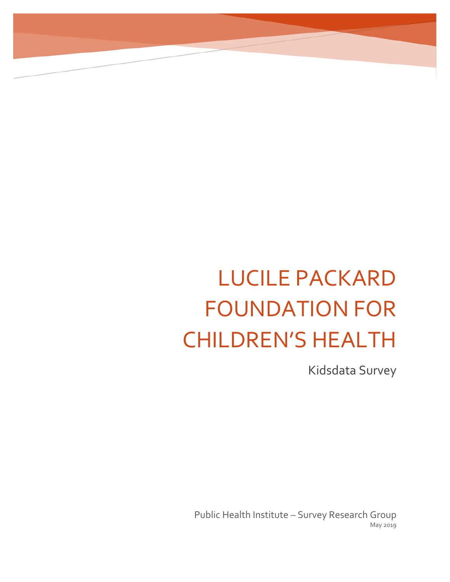# LUCILE PACKARD FOUNDATION FOR CHILDREN'S HEALTH

Kidsdata Survey

Public Health Institute – Survey Research Group May 2019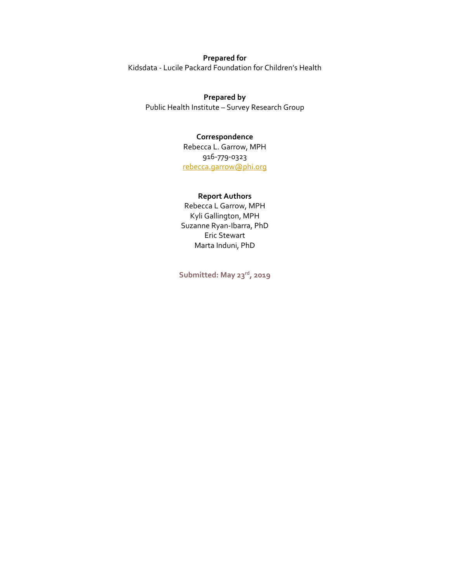## **Prepared for**

Kidsdata - Lucile Packard Foundation for Children's Health

### **Prepared by**

Public Health Institute – Survey Research Group

#### **Correspondence**

Rebecca L. Garrow, MPH 916-779-0323 [rebecca.garrow@phi.org](mailto:rebecca.garrow@phi.org)

#### **Report Authors**

Rebecca L Garrow, MPH Kyli Gallington, MPH Suzanne Ryan-Ibarra, PhD Eric Stewart Marta Induni, PhD

**Submitted: May 23rd, 2019**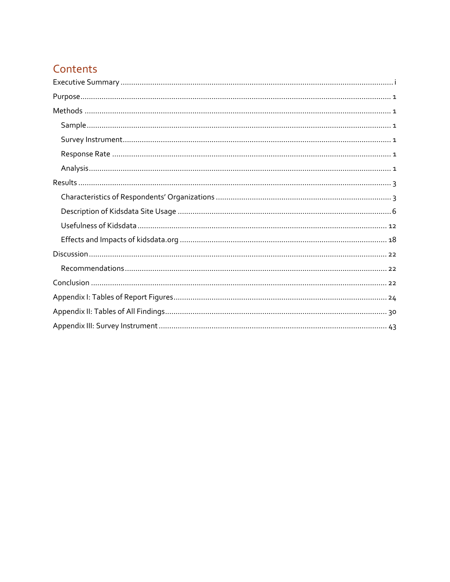# Contents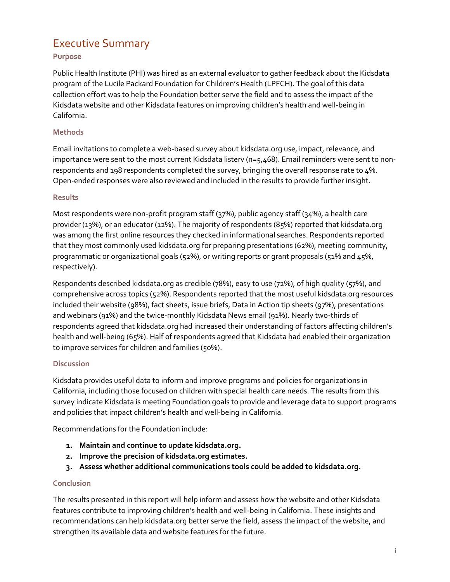# <span id="page-3-0"></span>Executive Summary

## **Purpose**

Public Health Institute (PHI) was hired as an external evaluator to gather feedback about the Kidsdata program of the Lucile Packard Foundation for Children's Health (LPFCH). The goal of this data collection effort was to help the Foundation better serve the field and to assess the impact of the Kidsdata website and other Kidsdata features on improving children's health and well-being in California.

## **Methods**

Email invitations to complete a web-based survey about kidsdata.org use, impact, relevance, and importance were sent to the most current Kidsdata listerv ( $n = 5,468$ ). Email reminders were sent to nonrespondents and 198 respondents completed the survey, bringing the overall response rate to 4%. Open-ended responses were also reviewed and included in the results to provide further insight.

#### **Results**

Most respondents were non-profit program staff (37%), public agency staff (34%), a health care provider (13%), or an educator (12%). The majority of respondents (85%) reported that kidsdata.org was among the first online resources they checked in informational searches. Respondents reported that they most commonly used kidsdata.org for preparing presentations (62%), meeting community, programmatic or organizational goals (52%), or writing reports or grant proposals (51% and 45%, respectively).

Respondents described kidsdata.org as credible (78%), easy to use (72%), of high quality (57%), and comprehensive across topics (52%). Respondents reported that the most useful kidsdata.org resources included their website (98%), fact sheets, issue briefs, Data in Action tip sheets (97%), presentations and webinars (91%) and the twice-monthly Kidsdata News email (91%). Nearly two-thirds of respondents agreed that kidsdata.org had increased their understanding of factors affecting children's health and well-being (65%). Half of respondents agreed that Kidsdata had enabled their organization to improve services for children and families (50%).

## **Discussion**

Kidsdata provides useful data to inform and improve programs and policies for organizations in California, including those focused on children with special health care needs. The results from this survey indicate Kidsdata is meeting Foundation goals to provide and leverage data to support programs and policies that impact children's health and well-being in California.

Recommendations for the Foundation include:

- **1. Maintain and continue to update kidsdata.org.**
- **2. Improve the precision of kidsdata.org estimates.**
- **3. Assess whether additional communications tools could be added to kidsdata.org.**

#### **Conclusion**

The results presented in this report will help inform and assess how the website and other Kidsdata features contribute to improving children's health and well-being in California. These insights and recommendations can help kidsdata.org better serve the field, assess the impact of the website, and strengthen its available data and website features for the future.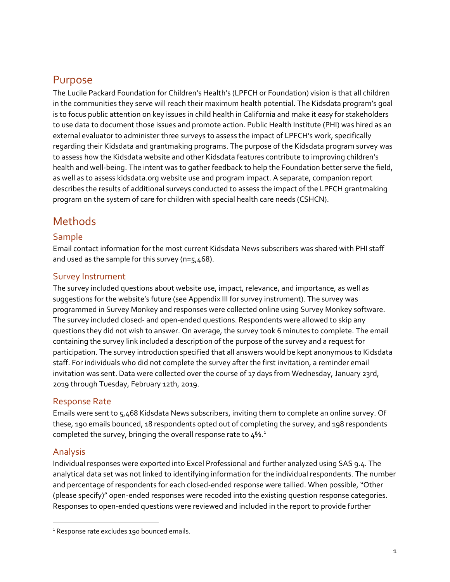# <span id="page-4-0"></span>Purpose

The Lucile Packard Foundation for Children's Health's (LPFCH or Foundation) vision is that all children in the communities they serve will reach their maximum health potential. The Kidsdata program's goal is to focus public attention on key issues in child health in California and make it easy for stakeholders to use data to document those issues and promote action. Public Health Institute (PHI) was hired as an external evaluator to administer three surveys to assess the impact of LPFCH's work, specifically regarding their Kidsdata and grantmaking programs. The purpose of the Kidsdata program survey was to assess how the Kidsdata website and other Kidsdata features contribute to improving children's health and well-being. The intent was to gather feedback to help the Foundation better serve the field, as well as to assess kidsdata.org website use and program impact. A separate, companion report describes the results of additional surveys conducted to assess the impact of the LPFCH grantmaking program on the system of care for children with special health care needs (CSHCN).

# <span id="page-4-1"></span>**Methods**

## <span id="page-4-2"></span>Sample

Email contact information for the most current Kidsdata News subscribers was shared with PHI staff and used as the sample for this survey (n=5,468).

## <span id="page-4-3"></span>Survey Instrument

The survey included questions about website use, impact, relevance, and importance, as well as suggestions for the website's future (see Appendix III for survey instrument). The survey was programmed in Survey Monkey and responses were collected online using Survey Monkey software. The survey included closed- and open-ended questions. Respondents were allowed to skip any questions they did not wish to answer. On average, the survey took 6 minutes to complete. The email containing the survey link included a description of the purpose of the survey and a request for participation. The survey introduction specified that all answers would be kept anonymous to Kidsdata staff. For individuals who did not complete the survey after the first invitation, a reminder email invitation was sent. Data were collected over the course of 17 days from Wednesday, January 23rd, 2019 through Tuesday, February 12th, 2019.

## <span id="page-4-4"></span>Response Rate

Emails were sent to 5,468 Kidsdata News subscribers, inviting them to complete an online survey. Of these, 190 emails bounced, 18 respondents opted out of completing the survey, and 198 respondents completed the survey, bringing the overall response rate to  $4\%$ .

## <span id="page-4-5"></span>Analysis

Individual responses were exported into Excel Professional and further analyzed using SAS 9.4. The analytical data set was not linked to identifying information for the individual respondents. The number and percentage of respondents for each closed-ended response were tallied. When possible, "Other (please specify)" open-ended responses were recoded into the existing question response categories. Responses to open-ended questions were reviewed and included in the report to provide further

<span id="page-4-6"></span><sup>&</sup>lt;sup>1</sup> Response rate excludes 190 bounced emails.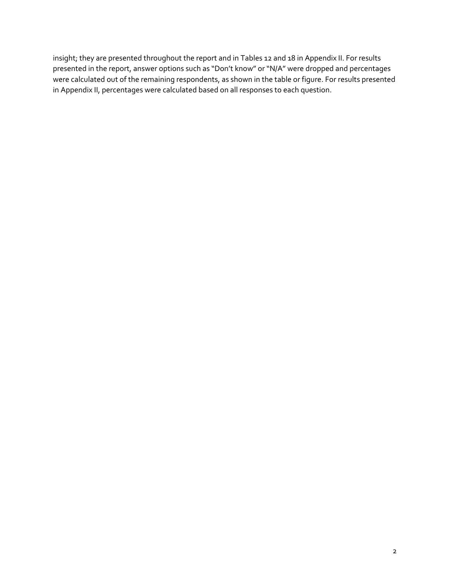insight; they are presented throughout the report and in Tables 12 and 18 in Appendix II. For results presented in the report, answer options such as "Don't know" or "N/A" were dropped and percentages were calculated out of the remaining respondents, as shown in the table or figure. For results presented in Appendix II, percentages were calculated based on all responses to each question.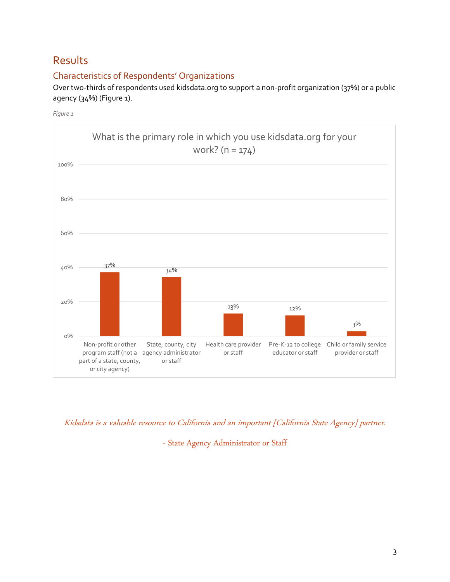# <span id="page-6-0"></span>Results

## <span id="page-6-1"></span>Characteristics of Respondents' Organizations

Over two-thirds of respondents used kidsdata.org to support a non-profit organization (37%) or a public agency (34%) [\(Figure 1\)](#page-6-2).

<span id="page-6-2"></span>*Figure 1*



Kidsdata is a valuable resource to California and an important [California State Agency] partner.

- State Agency Administrator or Staff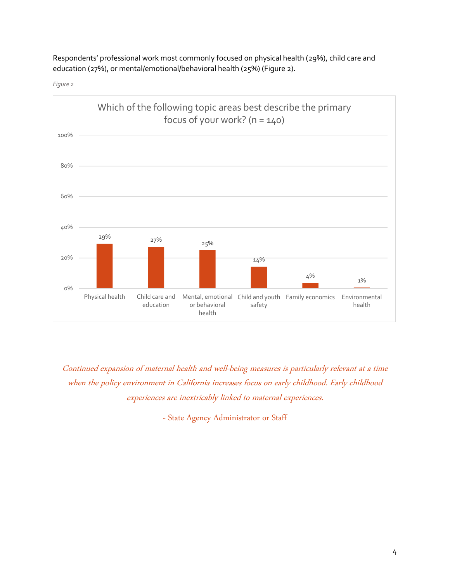Respondents' professional work most commonly focused on physical health (29%), child care and education (27%), or mental/emotional/behavioral health (25%) [\(Figure 2\)](#page-7-0).

<span id="page-7-0"></span>*Figure 2*



Continued expansion of maternal health and well-being measures is particularly relevant at a time when the policy environment in California increases focus on early childhood. Early childhood experiences are inextricably linked to maternal experiences.

- State Agency Administrator or Staff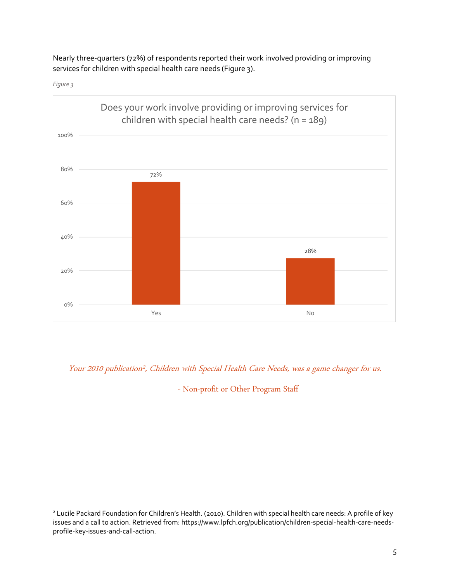Nearly three-quarters (72%) of respondents reported their work involved providing or improving services for children with special health care needs [\(Figure 3\)](#page-8-0).

<span id="page-8-0"></span>



Your 2010 publication<sup>2</sup>, Children with Special Health Care Needs, was a game changer for us.

- Non-profit or Other Program Staff

<sup>&</sup>lt;sup>2</sup> Lucile Packard Foundation for Children's Health. (2010). Children with special health care needs: A profile of key issues and a call to action. Retrieved from: https://www.lpfch.org/publication/children-special-health-care-needsprofile-key-issues-and-call-action.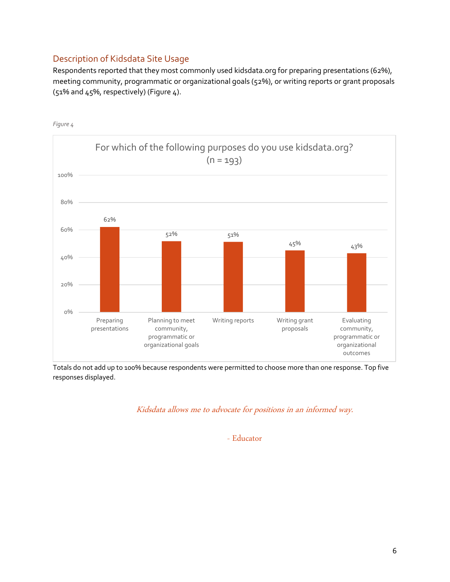## <span id="page-9-0"></span>Description of Kidsdata Site Usage

Respondents reported that they most commonly used kidsdata.org for preparing presentations (62%), meeting community, programmatic or organizational goals (52%), or writing reports or grant proposals (51% and 45%, respectively) [\(Figure 4\)](#page-9-1).



<span id="page-9-1"></span>*Figure 4*

Totals do not add up to 100% because respondents were permitted to choose more than one response. Top five responses displayed.

Kidsdata allows me to advocate for positions in an informed way.

- Educator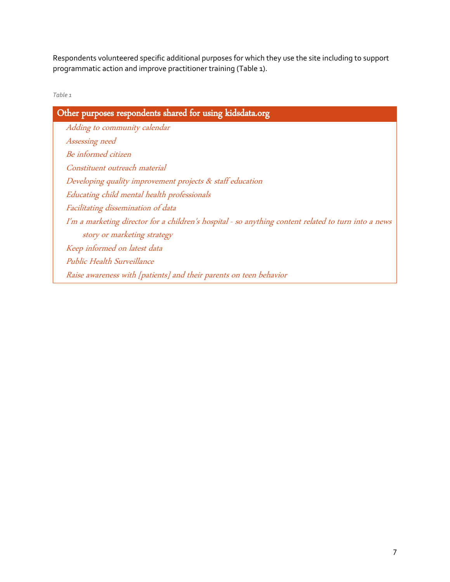Respondents volunteered specific additional purposes for which they use the site including to support programmatic action and improve practitioner training [\(Table 1\)](#page-10-0).

<span id="page-10-0"></span>*Table 1*

| Other purposes respondents shared for using kidsdata.org                                             |
|------------------------------------------------------------------------------------------------------|
| Adding to community calendar                                                                         |
| Assessing need                                                                                       |
| Be informed citizen                                                                                  |
| Constituent outreach material                                                                        |
| Developing quality improvement projects & staff education                                            |
| Educating child mental health professionals                                                          |
| Facilitating dissemination of data                                                                   |
| I'm a marketing director for a children's hospital - so anything content related to turn into a news |
| story or marketing strategy                                                                          |
| Keep informed on latest data                                                                         |
| Public Health Surveillance                                                                           |
| Raise awareness with [patients] and their parents on teen behavior                                   |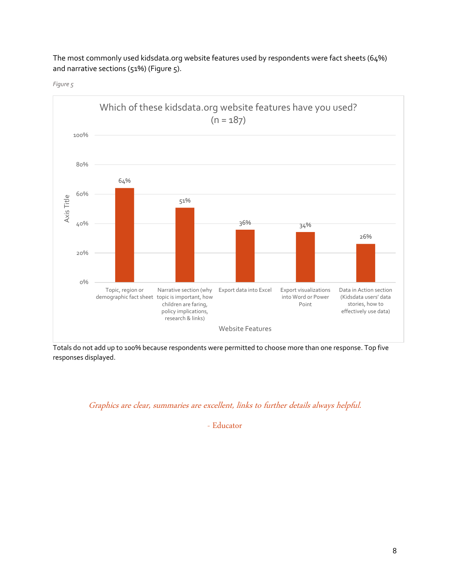

The most commonly used kidsdata.org website features used by respondents were fact sheets (64%) and narrative sections (51%) [\(Figure 5\)](#page-11-0).

<span id="page-11-0"></span>*Figure 5*

Totals do not add up to 100% because respondents were permitted to choose more than one response. Top five responses displayed.

## Graphics are clear, summaries are excellent, links to further details always helpful.

- Educator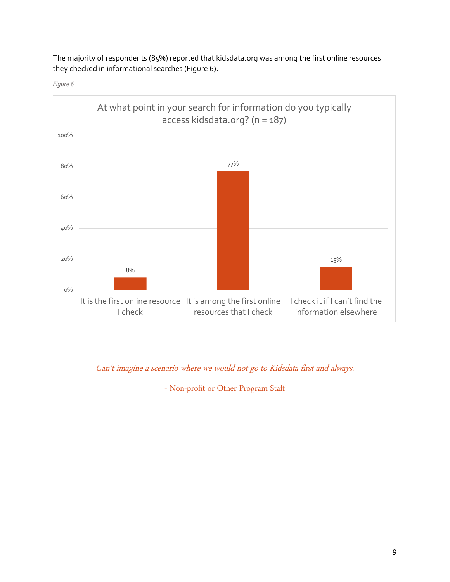The majority of respondents (85%) reported that kidsdata.org was among the first online resources they checked in informational searches [\(Figure 6\)](#page-12-0).

<span id="page-12-0"></span>



Can't imagine a scenario where we would not go to Kidsdata first and always.

- Non-profit or Other Program Staff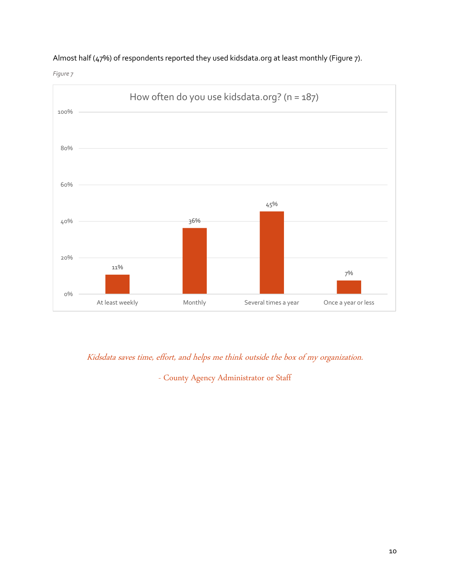### Almost half (47%) of respondents reported they used kidsdata.org at least monthly [\(Figure 7\)](#page-13-0).

<span id="page-13-0"></span>*Figure 7*



## Kidsdata saves time, effort, and helps me think outside the box of my organization.

- County Agency Administrator or Staff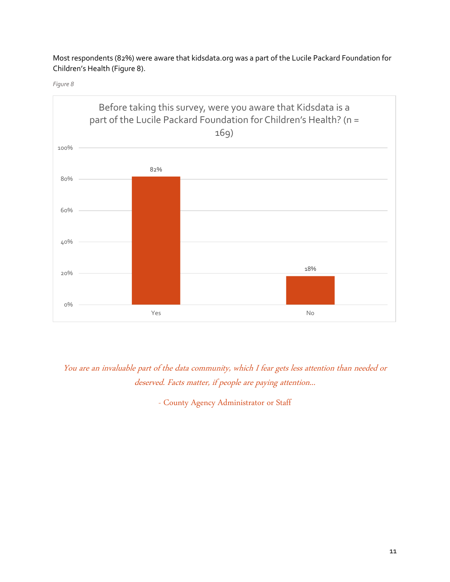Most respondents (82%) were aware that kidsdata.org was a part of the Lucile Packard Foundation for Children's Health [\(Figure 8\)](#page-14-0).

<span id="page-14-0"></span>*Figure 8*



You are an invaluable part of the data community, which I fear gets less attention than needed or deserved. Facts matter, if people are paying attention...

- County Agency Administrator or Staff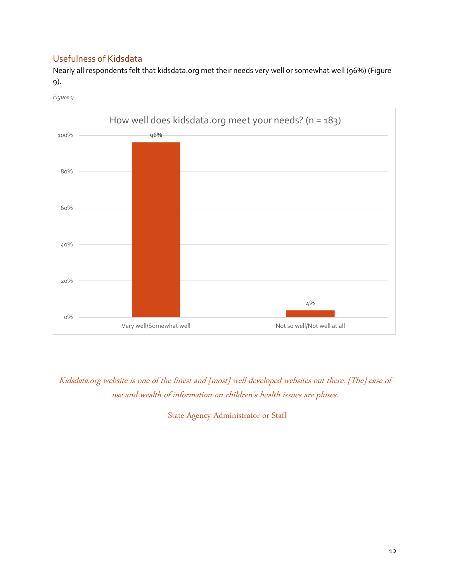## <span id="page-15-0"></span>Usefulness of Kidsdata

Nearly all respondents felt that kidsdata.org met their needs very well or somewhat well (96%) [\(Figure](#page-15-1)  [9\)](#page-15-1).

<span id="page-15-1"></span>*Figure 9*



Kidsdata.org website is one of the finest and [most] well-developed websites out there. [The] ease of use and wealth of information on children's health issues are pluses.

- State Agency Administrator or Staff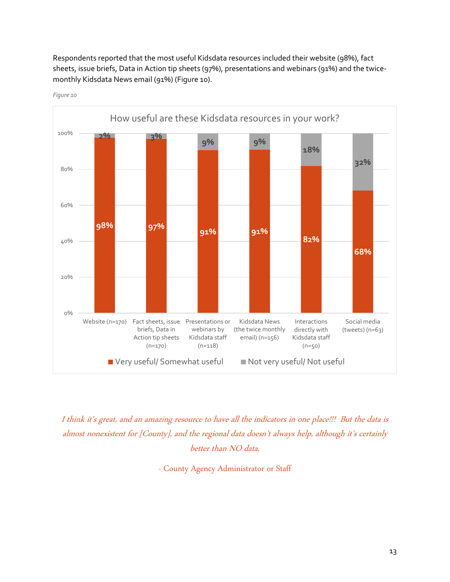Respondents reported that the most useful Kidsdata resources included their website (98%), fact sheets, issue briefs, Data in Action tip sheets (97%), presentations and webinars (91%) and the twicemonthly Kidsdata News email (91%) [\(Figure 10\)](#page-16-0).



<span id="page-16-0"></span>*Figure 10*

I think it's great, and an amazing resource to have all the indicators in one place!!! But the data is almost nonexistent for [County], and the regional data doesn't always help, although it's certainly better than NO data.

- County Agency Administrator or Staff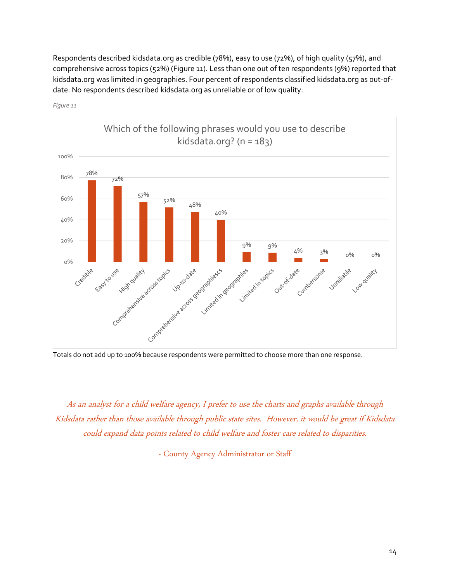Respondents described kidsdata.org as credible (78%), easy to use (72%), of high quality (57%), and comprehensive across topics (52%) [\(Figure 11\)](#page-17-0). Less than one out of ten respondents (9%) reported that kidsdata.org was limited in geographies. Four percent of respondents classified kidsdata.org as out-ofdate. No respondents described kidsdata.org as unreliable or of low quality.



<span id="page-17-0"></span>*Figure 11*

As an analyst for a child welfare agency, I prefer to use the charts and graphs available through Kidsdata rather than those available through public state sites. However, it would be great if Kidsdata could expand data points related to child welfare and foster care related to disparities.

- County Agency Administrator or Staff

Totals do not add up to 100% because respondents were permitted to choose more than one response.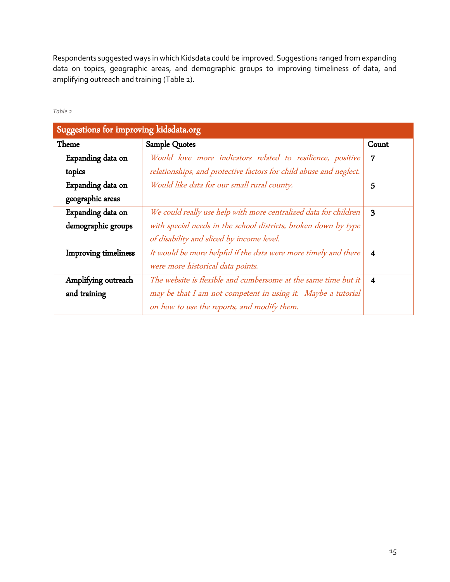Respondents suggested ways in which Kidsdata could be improved. Suggestions ranged from expanding data on topics, geographic areas, and demographic groups to improving timeliness of data, and amplifying outreach and training [\(Table 2\)](#page-18-0).

<span id="page-18-0"></span>*Table 2*

| Suggestions for improving kidsdata.org |                                                                    |                         |
|----------------------------------------|--------------------------------------------------------------------|-------------------------|
| Theme                                  | Sample Quotes                                                      | Count                   |
| Expanding data on                      | Would love more indicators related to resilience, positive         | 7                       |
| topics                                 | relationships, and protective factors for child abuse and neglect. |                         |
| Expanding data on                      | Would like data for our small rural county.                        | 5                       |
| geographic areas                       |                                                                    |                         |
| Expanding data on                      | We could really use help with more centralized data for children   | 3                       |
| demographic groups                     | with special needs in the school districts, broken down by type    |                         |
|                                        | of disability and sliced by income level.                          |                         |
| <b>Improving timeliness</b>            | It would be more helpful if the data were more timely and there    | 4                       |
|                                        | were more historical data points.                                  |                         |
| Amplifying outreach                    | The website is flexible and cumbersome at the same time but it     | $\overline{\mathbf{4}}$ |
| and training                           | may be that I am not competent in using it. Maybe a tutorial       |                         |
|                                        | on how to use the reports, and modify them.                        |                         |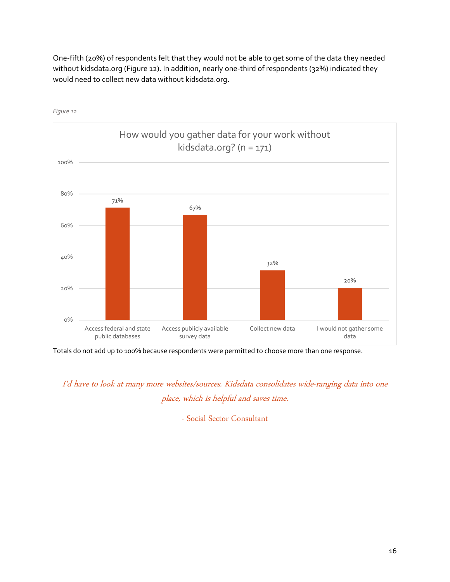One-fifth (20%) of respondents felt that they would not be able to get some of the data they needed without kidsdata.org [\(Figure 12\)](#page-19-0). In addition, nearly one-third of respondents (32%) indicated they would need to collect new data without kidsdata.org.



<span id="page-19-0"></span>*Figure 12*

Totals do not add up to 100% because respondents were permitted to choose more than one response.

I'd have to look at many more websites/sources. Kidsdata consolidates wide-ranging data into one place, which is helpful and saves time.

- Social Sector Consultant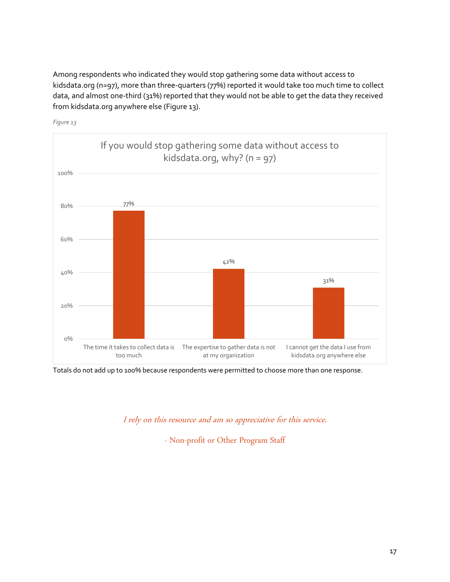Among respondents who indicated they would stop gathering some data without access to kidsdata.org (n=97), more than three-quarters (77%) reported it would take too much time to collect data, and almost one-third (31%) reported that they would not be able to get the data they received from kidsdata.org anywhere else [\(Figure](#page-20-0) 13).



<span id="page-20-0"></span>*Figure 13*

Totals do not add up to 100% because respondents were permitted to choose more than one response.

I rely on this resource and am so appreciative for this service.

- Non-profit or Other Program Staff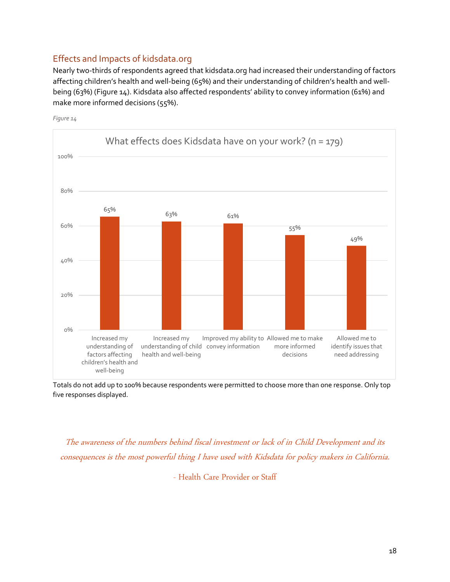## <span id="page-21-0"></span>Effects and Impacts of kidsdata.org

Nearly two-thirds of respondents agreed that kidsdata.org had increased their understanding of factors affecting children's health and well-being (65%) and their understanding of children's health and wellbeing (63%) [\(Figure 14\)](#page-21-1). Kidsdata also affected respondents' ability to convey information (61%) and make more informed decisions (55%).



<span id="page-21-1"></span>*Figure 14*

Totals do not add up to 100% because respondents were permitted to choose more than one response. Only top five responses displayed.

The awareness of the numbers behind fiscal investment or lack of in Child Development and its consequences is the most powerful thing I have used with Kidsdata for policy makers in California.

- Health Care Provider or Staff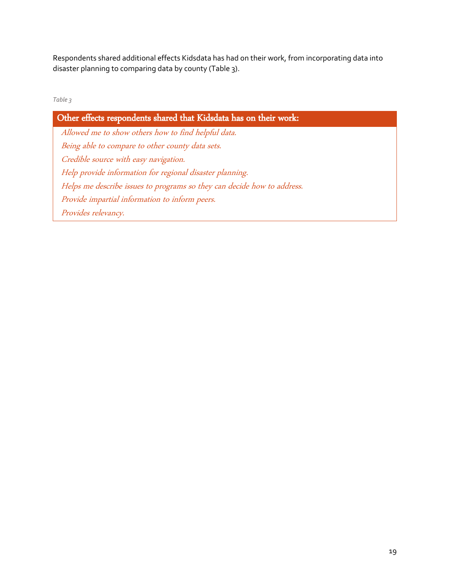Respondents shared additional effects Kidsdata has had on their work, from incorporating data into disaster planning to comparing data by county [\(Table 3\)](#page-22-0).

<span id="page-22-0"></span>

| ۰<br>٠<br>I<br>---<br>×<br>× | ٧ |
|------------------------------|---|
|------------------------------|---|

Other effects respondents shared that Kidsdata has on their work: Allowed me to show others how to find helpful data. Being able to compare to other county data sets. Credible source with easy navigation. Help provide information for regional disaster planning. Helps me describe issues to programs so they can decide how to address. Provide impartial information to inform peers. Provides relevancy.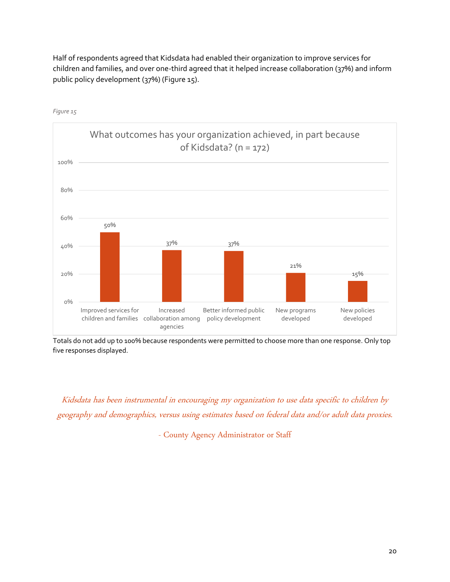Half of respondents agreed that Kidsdata had enabled their organization to improve services for children and families, and over one-third agreed that it helped increase collaboration (37%) and inform public policy development (37%) [\(Figure 15\)](#page-23-0).



<span id="page-23-0"></span>*Figure 15*

Totals do not add up to 100% because respondents were permitted to choose more than one response. Only top five responses displayed.

Kidsdata has been instrumental in encouraging my organization to use data specific to children by geography and demographics, versus using estimates based on federal data and/or adult data proxies.

- County Agency Administrator or Staff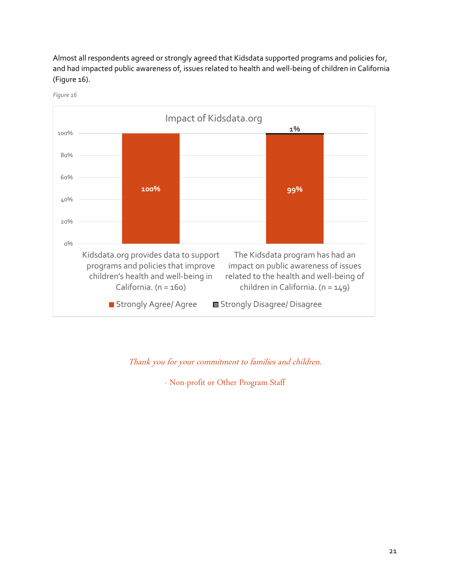Almost all respondents agreed or strongly agreed that Kidsdata supported programs and policies for, and had impacted public awareness of, issues related to health and well-being of children in California [\(Figure 16\)](#page-24-0).



<span id="page-24-0"></span>*Figure 16*

## Thank you for your commitment to families and children.

- Non-profit or Other Program Staff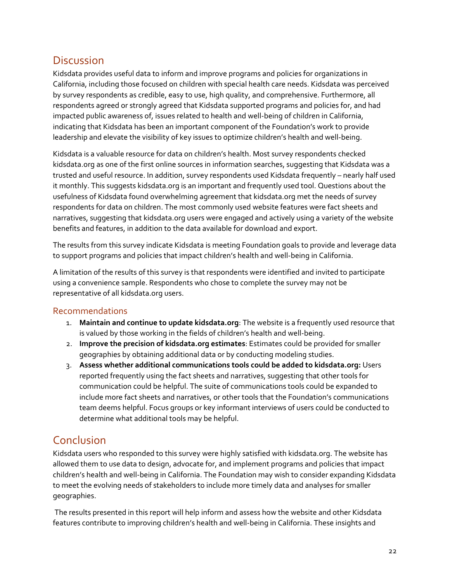# <span id="page-25-0"></span>**Discussion**

Kidsdata provides useful data to inform and improve programs and policies for organizations in California, including those focused on children with special health care needs. Kidsdata was perceived by survey respondents as credible, easy to use, high quality, and comprehensive. Furthermore, all respondents agreed or strongly agreed that Kidsdata supported programs and policies for, and had impacted public awareness of, issues related to health and well-being of children in California, indicating that Kidsdata has been an important component of the Foundation's work to provide leadership and elevate the visibility of key issues to optimize children's health and well-being.

Kidsdata is a valuable resource for data on children's health. Most survey respondents checked kidsdata.org as one of the first online sources in information searches, suggesting that Kidsdata was a trusted and useful resource. In addition, survey respondents used Kidsdata frequently – nearly half used it monthly. This suggests kidsdata.org is an important and frequently used tool. Questions about the usefulness of Kidsdata found overwhelming agreement that kidsdata.org met the needs of survey respondents for data on children. The most commonly used website features were fact sheets and narratives, suggesting that kidsdata.org users were engaged and actively using a variety of the website benefits and features, in addition to the data available for download and export.

The results from this survey indicate Kidsdata is meeting Foundation goals to provide and leverage data to support programs and policies that impact children's health and well-being in California.

A limitation of the results of this survey is that respondents were identified and invited to participate using a convenience sample. Respondents who chose to complete the survey may not be representative of all kidsdata.org users.

## <span id="page-25-1"></span>Recommendations

- 1. **Maintain and continue to update kidsdata.org**: The website is a frequently used resource that is valued by those working in the fields of children's health and well-being.
- 2. **Improve the precision of kidsdata.org estimates**: Estimates could be provided for smaller geographies by obtaining additional data or by conducting modeling studies.
- 3. **Assess whether additional communications tools could be added to kidsdata.org:** Users reported frequently using the fact sheets and narratives, suggesting that other tools for communication could be helpful. The suite of communications tools could be expanded to include more fact sheets and narratives, or other tools that the Foundation's communications team deems helpful. Focus groups or key informant interviews of users could be conducted to determine what additional tools may be helpful.

## <span id="page-25-2"></span>Conclusion

Kidsdata users who responded to this survey were highly satisfied with kidsdata.org. The website has allowed them to use data to design, advocate for, and implement programs and policies that impact children's health and well-being in California. The Foundation may wish to consider expanding Kidsdata to meet the evolving needs of stakeholders to include more timely data and analyses for smaller geographies.

The results presented in this report will help inform and assess how the website and other Kidsdata features contribute to improving children's health and well-being in California. These insights and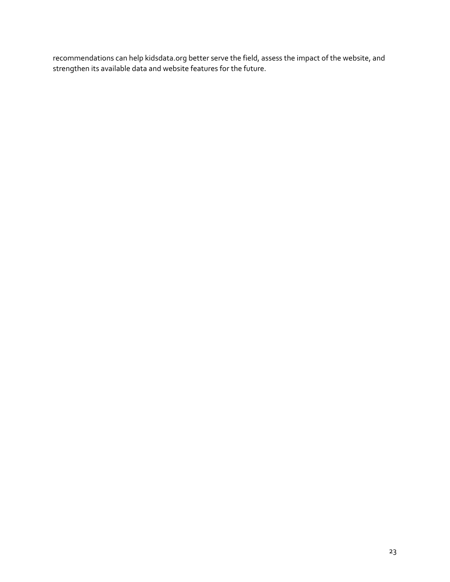recommendations can help kidsdata.org better serve the field, assess the impact of the website, and strengthen its available data and website features for the future.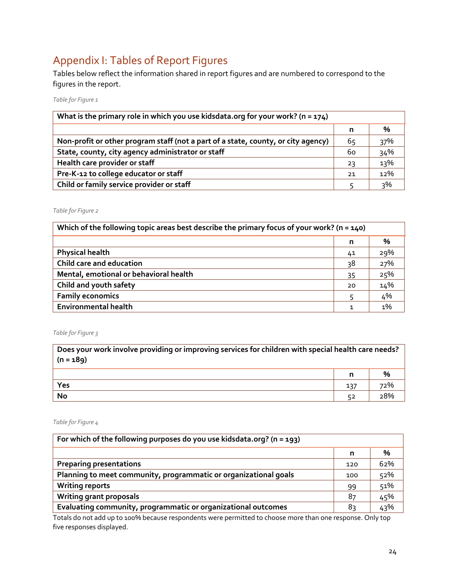# <span id="page-27-0"></span>Appendix I: Tables of Report Figures

Tables below reflect the information shared in report figures and are numbered to correspond to the figures in the report.

*Table for Figure 1*

| What is the primary role in which you use kidsdata.org for your work? ( $n = 174$ ) |    |     |
|-------------------------------------------------------------------------------------|----|-----|
|                                                                                     | n  | %   |
| Non-profit or other program staff (not a part of a state, county, or city agency)   | 65 | 37% |
| State, county, city agency administrator or staff                                   | 60 | 34% |
| Health care provider or staff                                                       | 23 | 13% |
| Pre-K-12 to college educator or staff                                               | 21 | 12% |
| Child or family service provider or staff                                           |    | २%  |

*Table for Figure 2*

| Which of the following topic areas best describe the primary focus of your work? ( $n = 140$ ) |    |       |
|------------------------------------------------------------------------------------------------|----|-------|
|                                                                                                | n  | %     |
| <b>Physical health</b>                                                                         | 41 | 29%   |
| Child care and education                                                                       | 38 | 27%   |
| Mental, emotional or behavioral health                                                         | 35 | 25%   |
| Child and youth safety                                                                         | 20 | 14%   |
| <b>Family economics</b>                                                                        |    | 4%    |
| <b>Environmental health</b>                                                                    | 1  | $1\%$ |

*Table for Figure 3*

**Does your work involve providing or improving services for children with special health care needs? (n = 189) n % Yes** 137 72% **No** 52 28%

*Table for Figure 4*

| For which of the following purposes do you use kidsdata.org? ( $n = 193$ ) |     |     |
|----------------------------------------------------------------------------|-----|-----|
|                                                                            | n   | %   |
| <b>Preparing presentations</b>                                             | 120 | 62% |
| Planning to meet community, programmatic or organizational goals           | 100 | 52% |
| <b>Writing reports</b>                                                     | 99  | 51% |
| <b>Writing grant proposals</b>                                             | 87  | 45% |
| Evaluating community, programmatic or organizational outcomes              | 8२  | 43% |

Totals do not add up to 100% because respondents were permitted to choose more than one response. Only top five responses displayed.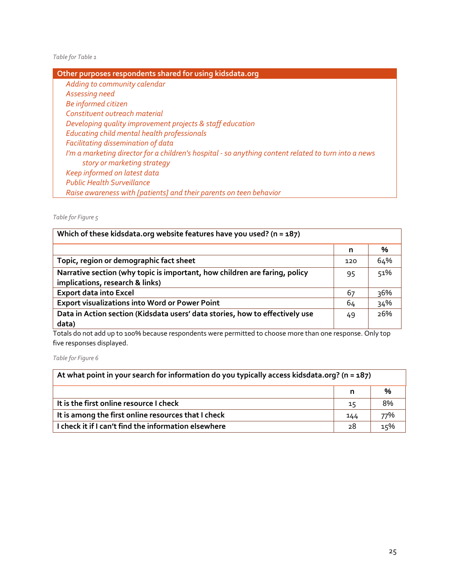*Table for Table 1*

| Other purposes respondents shared for using kidsdata.org                                                                            |
|-------------------------------------------------------------------------------------------------------------------------------------|
| Adding to community calendar                                                                                                        |
| Assessing need                                                                                                                      |
| Be informed citizen                                                                                                                 |
| Constituent outreach material                                                                                                       |
| Developing quality improvement projects & staff education                                                                           |
| Educating child mental health professionals                                                                                         |
| Facilitating dissemination of data                                                                                                  |
| I'm a marketing director for a children's hospital - so anything content related to turn into a news<br>story or marketing strategy |
| Keep informed on latest data                                                                                                        |
|                                                                                                                                     |
| <b>Public Health Surveillance</b>                                                                                                   |
| Raise awareness with [patients] and their parents on teen behavior                                                                  |

*Table for Figure 5*

| Which of these kidsdata.org website features have you used? ( $n = 187$ )    |     |     |  |
|------------------------------------------------------------------------------|-----|-----|--|
|                                                                              | n   | %   |  |
| Topic, region or demographic fact sheet                                      | 120 | 64% |  |
| Narrative section (why topic is important, how children are faring, policy   | 95  | 51% |  |
| implications, research & links)                                              |     |     |  |
| <b>Export data into Excel</b>                                                | 67  | 36% |  |
| <b>Export visualizations into Word or Power Point</b>                        | 64  | 34% |  |
| Data in Action section (Kidsdata users' data stories, how to effectively use | 49  | 26% |  |
| data)                                                                        |     |     |  |

Totals do not add up to 100% because respondents were permitted to choose more than one response. Only top five responses displayed.

*Table for Figure 6*

| At what point in your search for information do you typically access kidsdata.org? ( $n = 187$ ) |     |     |
|--------------------------------------------------------------------------------------------------|-----|-----|
|                                                                                                  |     | %   |
| It is the first online resource I check                                                          | 15  | 8%  |
| It is among the first online resources that I check                                              | 144 | 77% |
| I check it if I can't find the information elsewhere                                             | 28  | 15% |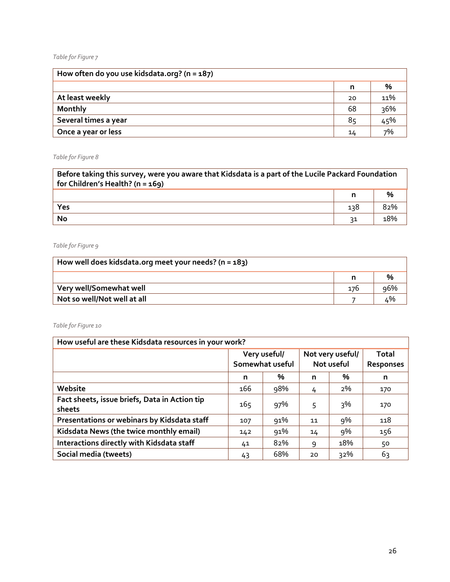#### *Table for Figure 7*

| How often do you use kidsdata.org? ( $n = 187$ ) |    |     |
|--------------------------------------------------|----|-----|
|                                                  | n  | %   |
| At least weekly                                  | 20 | 11% |
| <b>Monthly</b>                                   | 68 | 36% |
| Several times a year                             | 85 | 45% |
| Once a year or less                              | 14 | 7%  |

## *Table for Figure 8*

| Before taking this survey, were you aware that Kidsdata is a part of the Lucile Packard Foundation<br>for Children's Health? $(n = 169)$ |     |               |
|------------------------------------------------------------------------------------------------------------------------------------------|-----|---------------|
|                                                                                                                                          |     | $\frac{0}{0}$ |
| Yes                                                                                                                                      | 138 | 82%           |
| No                                                                                                                                       | 31  | 18%           |

### *Table for Figure 9*

| How well does kidsdata.org meet your needs? ( $n = 183$ ) |     |     |
|-----------------------------------------------------------|-----|-----|
|                                                           |     | %   |
| Very well/Somewhat well                                   | 176 | 96% |
| Not so well/Not well at all                               |     |     |

## *Table for Figure 10*

| How useful are these Kidsdata resources in your work?   |                                 |     |                                |     |     |  |                    |
|---------------------------------------------------------|---------------------------------|-----|--------------------------------|-----|-----|--|--------------------|
|                                                         | Very useful/<br>Somewhat useful |     | Not very useful/<br>Not useful |     |     |  | Total<br>Responses |
|                                                         | n                               | %   | n                              | %   | n   |  |                    |
| Website                                                 | 166                             | 98% | 4                              | 2%  | 170 |  |                    |
| Fact sheets, issue briefs, Data in Action tip<br>sheets | 165                             | 97% | 5                              | 3%  | 170 |  |                    |
| Presentations or webinars by Kidsdata staff             | 107                             | 91% | 11                             | 9%  | 118 |  |                    |
| Kidsdata News (the twice monthly email)                 | 142                             | 91% | 14                             | 9%  | 156 |  |                    |
| Interactions directly with Kidsdata staff               | 41                              | 82% | 9                              | 18% | 50  |  |                    |
| Social media (tweets)                                   | 43                              | 68% | 20                             | 32% | 63  |  |                    |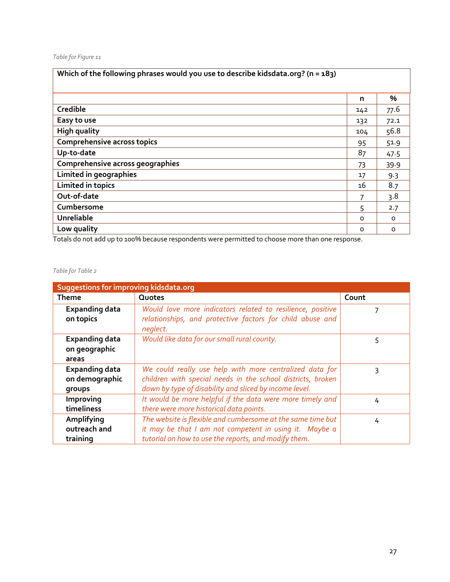### *Table for Figure 11*

| Which of the following phrases would you use to describe kidsdata.org? ( $n = 183$ ) |          |          |
|--------------------------------------------------------------------------------------|----------|----------|
|                                                                                      | n        | %        |
| Credible                                                                             | 142      | 77.6     |
| Easy to use                                                                          | 132      | 72.1     |
| <b>High quality</b>                                                                  | 104      | 56.8     |
| <b>Comprehensive across topics</b>                                                   | 95       | 51.9     |
| Up-to-date                                                                           | 87       | 47.5     |
| Comprehensive across geographies                                                     | 73       | 39.9     |
| Limited in geographies                                                               | 17       | 9.3      |
| <b>Limited in topics</b>                                                             | 16       | 8.7      |
| Out-of-date                                                                          | 7        | 3.8      |
| Cumbersome                                                                           | 5        | 2.7      |
| Unreliable                                                                           | $\Omega$ | $\Omega$ |
| Low quality                                                                          | $\Omega$ | 0        |

Totals do not add up to 100% because respondents were permitted to choose more than one response.

### *Table for Table 2*

| Suggestions for improving kidsdata.org            |                                                                                                                                                                                  |       |  |  |
|---------------------------------------------------|----------------------------------------------------------------------------------------------------------------------------------------------------------------------------------|-------|--|--|
| <b>Theme</b>                                      | Quotes                                                                                                                                                                           | Count |  |  |
| <b>Expanding data</b><br>on topics                | Would love more indicators related to resilience, positive<br>relationships, and protective factors for child abuse and<br>neglect.                                              |       |  |  |
| <b>Expanding data</b><br>on geographic<br>areas   | Would like data for our small rural county.                                                                                                                                      | 5     |  |  |
| <b>Expanding data</b><br>on demographic<br>groups | We could really use help with more centralized data for<br>children with special needs in the school districts, broken<br>down by type of disability and sliced by income level. | 3     |  |  |
| Improving<br>timeliness                           | It would be more helpful if the data were more timely and<br>there were more historical data points.                                                                             | 4     |  |  |
| Amplifying<br>outreach and<br>training            | The website is flexible and cumbersome at the same time but<br>it may be that I am not competent in using it. Maybe a<br>tutorial on how to use the reports, and modify them.    | 4     |  |  |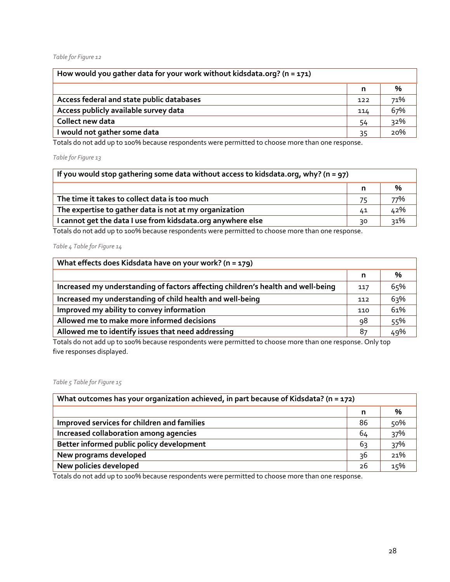#### *Table for Figure 12*

| How would you gather data for your work without kidsdata.org? ( $n = 171$ ) |     |     |
|-----------------------------------------------------------------------------|-----|-----|
|                                                                             | n   | %   |
| Access federal and state public databases                                   | 122 | 71% |
| Access publicly available survey data                                       | 114 | 67% |
| Collect new data                                                            | 54  | 32% |
| I would not gather some data                                                | 35  | 20% |

Totals do not add up to 100% because respondents were permitted to choose more than one response.

*Table for Figure 13*

| If you would stop gathering some data without access to kidsdata.org, why? ( $n = 97$ ) |    |     |  |
|-----------------------------------------------------------------------------------------|----|-----|--|
|                                                                                         | n  | %   |  |
| The time it takes to collect data is too much                                           | 75 | 77% |  |
| The expertise to gather data is not at my organization                                  | 41 | 42% |  |
| I cannot get the data I use from kidsdata.org anywhere else                             | 30 | 31% |  |

Totals do not add up to 100% because respondents were permitted to choose more than one response.

*Table 4 Table for Figure 14*

| What effects does Kidsdata have on your work? (n = 179)                          |     |     |
|----------------------------------------------------------------------------------|-----|-----|
|                                                                                  | n   | %   |
| Increased my understanding of factors affecting children's health and well-being | 117 | 65% |
| Increased my understanding of child health and well-being                        | 112 | 63% |
| Improved my ability to convey information                                        | 110 | 61% |
| Allowed me to make more informed decisions                                       | 98  | 55% |
| Allowed me to identify issues that need addressing                               | 87  | 49% |

Totals do not add up to 100% because respondents were permitted to choose more than one response. Only top five responses displayed.

*Table 5 Table for Figure 15*

| What outcomes has your organization achieved, in part because of Kidsdata? ( $n = 172$ ) |    |     |  |
|------------------------------------------------------------------------------------------|----|-----|--|
|                                                                                          | n  | %   |  |
| Improved services for children and families                                              | 86 | 50% |  |
| Increased collaboration among agencies                                                   | 64 | 37% |  |
| Better informed public policy development                                                | 63 | 37% |  |
| New programs developed                                                                   | 36 | 21% |  |
| New policies developed                                                                   | 26 | 15% |  |

Totals do not add up to 100% because respondents were permitted to choose more than one response.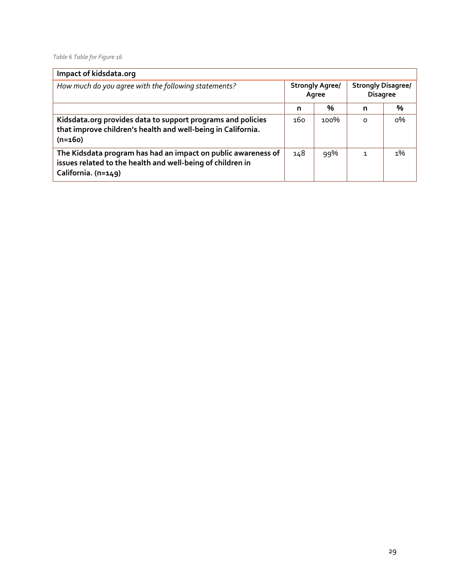*Table 6 Table for Figure 16*

| Impact of kidsdata.org                                                                                                                             |                                 |      |                                              |       |
|----------------------------------------------------------------------------------------------------------------------------------------------------|---------------------------------|------|----------------------------------------------|-------|
| How much do you agree with the following statements?                                                                                               | <b>Strongly Agree/</b><br>Agree |      | <b>Strongly Disagree/</b><br><b>Disagree</b> |       |
|                                                                                                                                                    | n                               | %    | n                                            | %     |
| Kidsdata.org provides data to support programs and policies<br>that improve children's health and well-being in California.<br>$(n=160)$           | 160                             | 100% | $\Omega$                                     | $0\%$ |
| The Kidsdata program has had an impact on public awareness of<br>issues related to the health and well-being of children in<br>California. (n=149) | 148                             | 99%  | 1                                            | $1\%$ |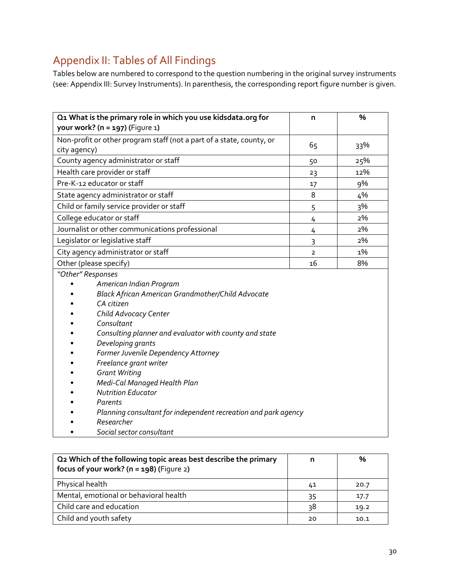# <span id="page-33-0"></span>Appendix II: Tables of All Findings

Tables below are numbered to correspond to the question numbering in the original survey instruments (see: Appendix III: Survey Instruments). In parenthesis, the corresponding report figure number is given.

|                   | Q1 What is the primary role in which you use kidsdata.org for<br>your work? ( $n = 197$ ) (Figure 1) | n              | $\%$ |
|-------------------|------------------------------------------------------------------------------------------------------|----------------|------|
|                   | Non-profit or other program staff (not a part of a state, county, or                                 | 65             | 33%  |
| city agency)      |                                                                                                      |                |      |
|                   | County agency administrator or staff                                                                 | 50             | 25%  |
|                   | Health care provider or staff                                                                        | 23             | 12%  |
|                   | Pre-K-12 educator or staff                                                                           | 17             | 9%   |
|                   | State agency administrator or staff                                                                  | 8              | 4%   |
|                   | Child or family service provider or staff                                                            | 5              | 3%   |
|                   | College educator or staff                                                                            | 4              | 2%   |
|                   | Journalist or other communications professional                                                      | 4              | 2%   |
|                   | Legislator or legislative staff                                                                      | 3              | 2%   |
|                   | City agency administrator or staff                                                                   | $\overline{2}$ | 1%   |
|                   | Other (please specify)                                                                               | 16             | 8%   |
| "Other" Responses |                                                                                                      |                |      |
|                   | American Indian Program                                                                              |                |      |
|                   | Black African American Grandmother/Child Advocate                                                    |                |      |
|                   | CA citizen                                                                                           |                |      |
|                   | Child Advocacy Center                                                                                |                |      |
|                   | Consultant                                                                                           |                |      |
|                   | Consulting planner and evaluator with county and state                                               |                |      |
|                   | Developing grants                                                                                    |                |      |
|                   | Former Juvenile Dependency Attorney                                                                  |                |      |
|                   | Freelance grant writer                                                                               |                |      |
|                   | <b>Grant Writing</b>                                                                                 |                |      |
|                   | Medi-Cal Managed Health Plan                                                                         |                |      |
|                   | <b>Nutrition Educator</b>                                                                            |                |      |
|                   | Parents                                                                                              |                |      |
|                   | Planning consultant for independent recreation and park agency                                       |                |      |
|                   | Researcher                                                                                           |                |      |

• *Social sector consultant*

| Q2 Which of the following topic areas best describe the primary<br>focus of your work? ( $n = 198$ ) (Figure 2) |    | %    |
|-----------------------------------------------------------------------------------------------------------------|----|------|
| Physical health                                                                                                 | 41 | 20.7 |
| Mental, emotional or behavioral health                                                                          | 35 | 17.7 |
| Child care and education                                                                                        | 38 | 19.2 |
| Child and youth safety                                                                                          | 20 | 10.1 |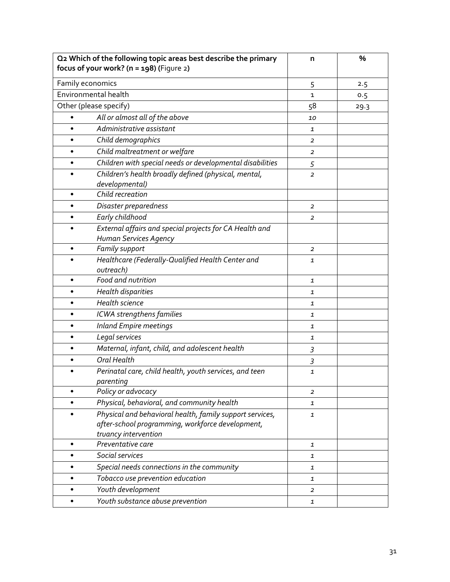| Q2 Which of the following topic areas best describe the primary<br>focus of your work? ( $n = 198$ ) (Figure 2) | n              | %    |
|-----------------------------------------------------------------------------------------------------------------|----------------|------|
| Family economics                                                                                                | 5              | 2.5  |
| Environmental health                                                                                            | $\mathbf{1}$   | 0.5  |
| Other (please specify)                                                                                          | 58             | 29.3 |
| All or almost all of the above<br>$\bullet$                                                                     | 10             |      |
| Administrative assistant                                                                                        | 1              |      |
| Child demographics<br>$\bullet$                                                                                 | $\overline{a}$ |      |
| Child maltreatment or welfare<br>٠                                                                              | $\overline{2}$ |      |
| Children with special needs or developmental disabilities<br>$\bullet$                                          | 5              |      |
| Children's health broadly defined (physical, mental,                                                            | $\overline{2}$ |      |
| developmental)                                                                                                  |                |      |
| Child recreation<br>٠                                                                                           |                |      |
| Disaster preparedness<br>٠                                                                                      | $\overline{2}$ |      |
| Early childhood<br>$\bullet$                                                                                    | $\overline{a}$ |      |
| External affairs and special projects for CA Health and                                                         |                |      |
| Human Services Agency                                                                                           |                |      |
| Family support<br>$\bullet$                                                                                     | $\overline{2}$ |      |
| Healthcare (Federally-Qualified Health Center and                                                               | $\mathbf{1}$   |      |
| outreach)<br>Food and nutrition<br>$\bullet$                                                                    |                |      |
|                                                                                                                 | 1              |      |
| Health disparities<br>٠<br>Health science                                                                       | $\mathbf{1}$   |      |
| ٠                                                                                                               | $\mathbf{1}$   |      |
| ICWA strengthens families<br>$\bullet$                                                                          | 1              |      |
| <b>Inland Empire meetings</b>                                                                                   | $\mathbf{1}$   |      |
| Legal services                                                                                                  | $\mathbf{1}$   |      |
| Maternal, infant, child, and adolescent health                                                                  | $\mathfrak{Z}$ |      |
| <b>Oral Health</b>                                                                                              | 3              |      |
| Perinatal care, child health, youth services, and teen                                                          | 1              |      |
| parenting<br>Policy or advocacy<br>$\bullet$                                                                    |                |      |
| Physical, behavioral, and community health                                                                      | $\overline{a}$ |      |
| Physical and behavioral health, family support services,                                                        | 1              |      |
| after-school programming, workforce development,                                                                | 1              |      |
| truancy intervention                                                                                            |                |      |
| Preventative care                                                                                               | 1              |      |
| Social services                                                                                                 | 1              |      |
| Special needs connections in the community                                                                      | 1              |      |
| Tobacco use prevention education                                                                                | 1              |      |
| Youth development                                                                                               | 2              |      |
| Youth substance abuse prevention<br>$\bullet$                                                                   | 1              |      |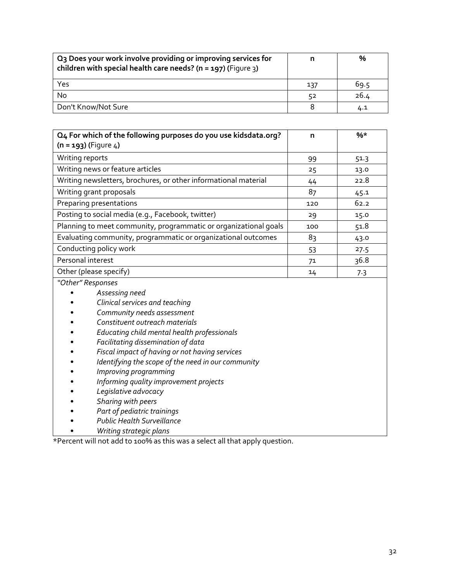| Q <sub>3</sub> Does your work involve providing or improving services for<br>children with special health care needs? ( $n = 197$ ) (Figure 3) |     | %    |
|------------------------------------------------------------------------------------------------------------------------------------------------|-----|------|
| Yes                                                                                                                                            | 137 | 69.5 |
| No                                                                                                                                             | 52  | 26.4 |
| Don't Know/Not Sure                                                                                                                            |     | 4.1  |

| Q4 For which of the following purposes do you use kidsdata.org?<br>$(n = 193)$ (Figure 4) | n   | $%*$ |
|-------------------------------------------------------------------------------------------|-----|------|
| Writing reports                                                                           | 99  | 51.3 |
| Writing news or feature articles                                                          | 25  | 13.0 |
| Writing newsletters, brochures, or other informational material                           | 44  | 22.8 |
| Writing grant proposals                                                                   | 87  | 45.1 |
| Preparing presentations                                                                   | 120 | 62.2 |
| Posting to social media (e.g., Facebook, twitter)                                         | 29  | 15.0 |
| Planning to meet community, programmatic or organizational goals                          | 100 | 51.8 |
| Evaluating community, programmatic or organizational outcomes                             | 83  | 43.0 |
| Conducting policy work                                                                    | 53  | 27.5 |
| Personal interest                                                                         | 71  | 36.8 |
| Other (please specify)                                                                    | 14  | 7.3  |

*"Other" Responses*

- *Assessing need*
- *Clinical services and teaching*
- *Community needs assessment*
- *Constituent outreach materials*
- *Educating child mental health professionals*
- *Facilitating dissemination of data*
- *Fiscal impact of having or not having services*
- *Identifying the scope of the need in our community*
- *Improving programming*
- *Informing quality improvement projects*
- *Legislative advocacy*
- *Sharing with peers*
- *Part of pediatric trainings*
- *Public Health Surveillance*
- *Writing strategic plans*

\*Percent will not add to 100% as this was a select all that apply question.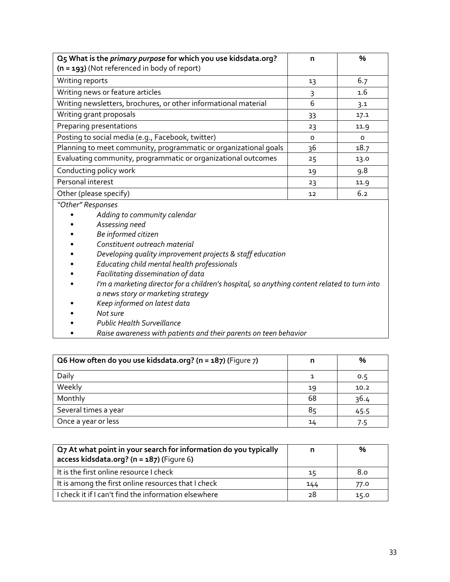| O5 What is the primary purpose for which you use kidsdata.org?   | n        | $\frac{0}{0}$ |
|------------------------------------------------------------------|----------|---------------|
| $(n = 193)$ (Not referenced in body of report)                   |          |               |
| Writing reports                                                  | 13       | 6.7           |
| Writing news or feature articles                                 | 3        | 1.6           |
| Writing newsletters, brochures, or other informational material  | 6        | 3.1           |
| Writing grant proposals                                          | 33       | 17.1          |
| Preparing presentations                                          | 23       | 11.9          |
| Posting to social media (e.g., Facebook, twitter)                | $\Omega$ | O             |
| Planning to meet community, programmatic or organizational goals | 36       | 18.7          |
| Evaluating community, programmatic or organizational outcomes    | 25       | 13.0          |
| Conducting policy work                                           | 19       | 9.8           |
| Personal interest                                                | 23       | 11.9          |
| Other (please specify)                                           | 12       | 6.2           |

*"Other" Responses*

- *Adding to community calendar*
- *Assessing need*
- *Be informed citizen*
- *Constituent outreach material*
- *Developing quality improvement projects & staff education*
- *Educating child mental health professionals*
- *Facilitating dissemination of data*
- *I'm a marketing director for a children's hospital, so anything content related to turn into a news story or marketing strategy*
- *Keep informed on latest data*
- *Not sure*
- *Public Health Surveillance*
- *Raise awareness with patients and their parents on teen behavior*

| Q6 How often do you use kidsdata.org? ( $n = 187$ ) (Figure 7) | n  | $\%$ |
|----------------------------------------------------------------|----|------|
| Daily                                                          |    | 0.5  |
| Weekly                                                         | 19 | 10.2 |
| Monthly                                                        | 68 | 36.4 |
| Several times a year                                           | 85 | 45.5 |
| Once a year or less                                            | 14 | 7.5  |

| Q7 At what point in your search for information do you typically<br>access kidsdata.org? (n = 187) (Figure 6) |     | $\frac{0}{0}$ |
|---------------------------------------------------------------------------------------------------------------|-----|---------------|
| It is the first online resource I check                                                                       | 15  | 8.0           |
| It is among the first online resources that I check                                                           | 144 | 77.0          |
| I check it if I can't find the information elsewhere                                                          | 28  | 15.0          |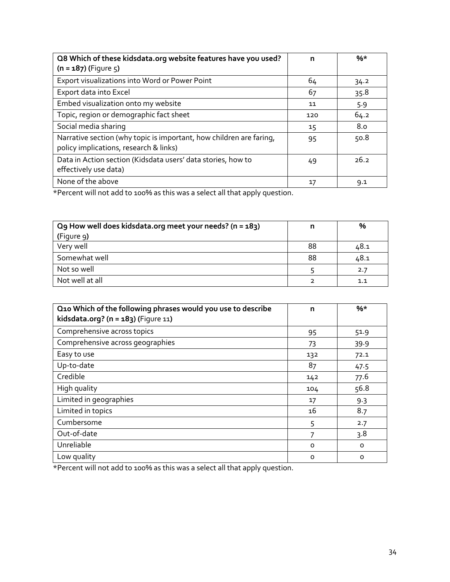| Q8 Which of these kidsdata.org website features have you used?<br>$(n = 187)$ (Figure 5)                      | n   | $%*$ |
|---------------------------------------------------------------------------------------------------------------|-----|------|
| Export visualizations into Word or Power Point                                                                | 64  | 34.2 |
| Export data into Excel                                                                                        | 67  | 35.8 |
| Embed visualization onto my website                                                                           | 11  | 5.9  |
| Topic, region or demographic fact sheet                                                                       | 120 | 64.2 |
| Social media sharing                                                                                          | 15  | 8.0  |
| Narrative section (why topic is important, how children are faring,<br>policy implications, research & links) | 95  | 50.8 |
| Data in Action section (Kidsdata users' data stories, how to<br>effectively use data)                         | 49  | 26.2 |
| None of the above                                                                                             | 17  | 9.1  |

\*Percent will not add to 100% as this was a select all that apply question.

| Q9 How well does kidsdata.org meet your needs? ( $n = 183$ ) | n  | %    |
|--------------------------------------------------------------|----|------|
| (Figure 9)                                                   |    |      |
| Very well                                                    | 88 | 48.1 |
| Somewhat well                                                | 88 | 48.1 |
| Not so well                                                  |    | 2.7  |
| Not well at all                                              |    | 1.1  |

| Q10 Which of the following phrases would you use to describe<br>kidsdata.org? ( $n = 183$ ) (Figure 11) | n       | $%*$     |
|---------------------------------------------------------------------------------------------------------|---------|----------|
| Comprehensive across topics                                                                             | 95      | 51.9     |
| Comprehensive across geographies                                                                        | 73      | 39.9     |
| Easy to use                                                                                             | 132     | 72.1     |
| Up-to-date                                                                                              | 87      | 47.5     |
| Credible                                                                                                | 142     | 77.6     |
| High quality                                                                                            | 104     | 56.8     |
| Limited in geographies                                                                                  | 17      | 9.3      |
| Limited in topics                                                                                       | 16      | 8.7      |
| Cumbersome                                                                                              | 5       | 2.7      |
| Out-of-date                                                                                             |         | 3.8      |
| Unreliable                                                                                              | $\circ$ | $\circ$  |
| Low quality                                                                                             | $\circ$ | $\Omega$ |

\*Percent will not add to 100% as this was a select all that apply question.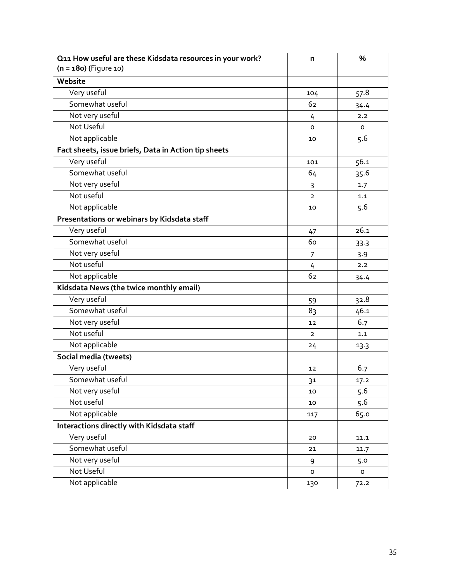| Q11 How useful are these Kidsdata resources in your work? | n              | %              |
|-----------------------------------------------------------|----------------|----------------|
| $(n = 180)$ (Figure 10)                                   |                |                |
| Website                                                   |                |                |
| Very useful                                               | 104            | 57.8           |
| Somewhat useful                                           | 62             | 34.4           |
| Not very useful                                           | 4              | 2.2            |
| Not Useful                                                | $\Omega$       | $\circ$        |
| Not applicable                                            | 10             | 5.6            |
| Fact sheets, issue briefs, Data in Action tip sheets      |                |                |
| Very useful                                               | 101            | 56.1           |
| Somewhat useful                                           | 64             | 35.6           |
| Not very useful                                           | 3              | 1.7            |
| Not useful                                                | $\overline{2}$ | 1.1            |
| Not applicable                                            | 10             | 5.6            |
| Presentations or webinars by Kidsdata staff               |                |                |
| Very useful                                               | 47             | 26.1           |
| Somewhat useful                                           | 60             | 33.3           |
| Not very useful                                           | 7              | 3.9            |
| Not useful                                                | 4              | 2.2            |
| Not applicable                                            | 62             | 34.4           |
| Kidsdata News (the twice monthly email)                   |                |                |
| Very useful                                               | 59             | 32.8           |
| Somewhat useful                                           | 83             | 46.1           |
| Not very useful                                           | 12             | 6.7            |
| Not useful                                                | $\overline{2}$ | 1.1            |
| Not applicable                                            | 24             | 13.3           |
| Social media (tweets)                                     |                |                |
| Very useful                                               | 12             | 6.7            |
| Somewhat useful                                           | 31             | 17.2           |
| Not very useful                                           | 10             | 5.6            |
| Not useful                                                | 10             | 5.6            |
| Not applicable                                            | 117            | 65.0           |
| Interactions directly with Kidsdata staff                 |                |                |
| Very useful                                               | 20             | 11.1           |
| Somewhat useful                                           | 21             | 11.7           |
| Not very useful                                           | 9              | 5.0            |
| Not Useful                                                | $\circ$        | $\mathsf{o}\,$ |
| Not applicable                                            | 130            | 72.2           |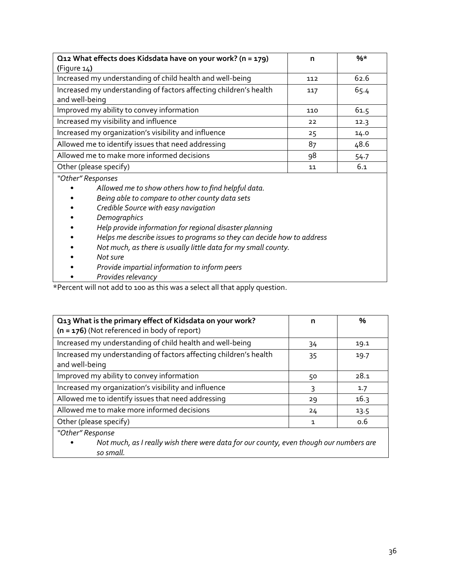| Q12 What effects does Kidsdata have on your work? (n = 179)                         | n   | $%$ * |
|-------------------------------------------------------------------------------------|-----|-------|
| (Figure $14$ )                                                                      |     |       |
| Increased my understanding of child health and well-being                           | 112 | 62.6  |
| Increased my understanding of factors affecting children's health<br>and well-being | 117 | 65.4  |
| Improved my ability to convey information                                           | 110 | 61.5  |
| Increased my visibility and influence                                               | 22  | 12.3  |
| Increased my organization's visibility and influence                                | 25  | 14.0  |
| Allowed me to identify issues that need addressing                                  | 87  | 48.6  |
| Allowed me to make more informed decisions                                          | 98  | 54.7  |
| Other (please specify)                                                              | 11  | 6.1   |

*"Other" Responses*

- *Allowed me to show others how to find helpful data.*
- *Being able to compare to other county data sets*
- *Credible Source with easy navigation*
- *Demographics*
- *Help provide information for regional disaster planning*
- *Helps me describe issues to programs so they can decide how to address*
- *Not much, as there is usually little data for my small county.*
- *Not sure*
- *Provide impartial information to inform peers*
- *Provides relevancy*

\*Percent will not add to 100 as this was a select all that apply question.

| Q13 What is the primary effect of Kidsdata on your work?<br>$(n = 176)$ (Not referenced in body of report) | n  | $\%$ |
|------------------------------------------------------------------------------------------------------------|----|------|
| Increased my understanding of child health and well-being                                                  | 34 | 19.1 |
| Increased my understanding of factors affecting children's health<br>and well-being                        | 35 | 19.7 |
| Improved my ability to convey information                                                                  | 50 | 28.1 |
| Increased my organization's visibility and influence                                                       | 3  | 1.7  |
| Allowed me to identify issues that need addressing                                                         | 29 | 16.3 |
| Allowed me to make more informed decisions                                                                 | 24 | 13.5 |
| Other (please specify)                                                                                     | 1  | 0.6  |
| "Other" Response                                                                                           |    |      |

• *Not much, as I really wish there were data for our county, even though our numbers are so small.*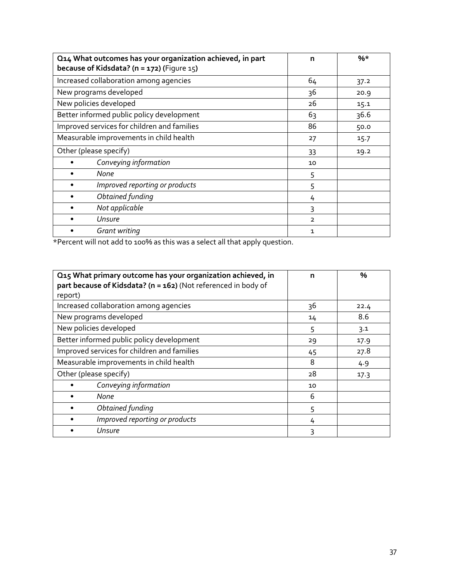| Q14 What outcomes has your organization achieved, in part<br>because of Kidsdata? ( $n = 172$ ) (Figure 15) | n              | $%*$ |
|-------------------------------------------------------------------------------------------------------------|----------------|------|
| Increased collaboration among agencies                                                                      | 64             | 37.2 |
| New programs developed                                                                                      | 36             | 20.9 |
| New policies developed                                                                                      | 26             | 15.1 |
| Better informed public policy development                                                                   | 63             | 36.6 |
| Improved services for children and families                                                                 | 86             | 50.0 |
| Measurable improvements in child health                                                                     | 27             | 15.7 |
| Other (please specify)                                                                                      | 33             | 19.2 |
| Conveying information                                                                                       | 10             |      |
| None                                                                                                        | 5              |      |
| Improved reporting or products                                                                              | 5              |      |
| Obtained funding                                                                                            | 4              |      |
| Not applicable                                                                                              | 3              |      |
| Unsure                                                                                                      | $\overline{2}$ |      |
| Grant writing                                                                                               | 1              |      |

\*Percent will not add to 100% as this was a select all that apply question.

| Q15 What primary outcome has your organization achieved, in<br>part because of Kidsdata? (n = 162) (Not referenced in body of | n  | %    |
|-------------------------------------------------------------------------------------------------------------------------------|----|------|
| report)                                                                                                                       |    |      |
| Increased collaboration among agencies                                                                                        | 36 | 22.4 |
| New programs developed                                                                                                        | 14 | 8.6  |
| New policies developed                                                                                                        | 5  | 3.1  |
| Better informed public policy development                                                                                     | 29 | 17.9 |
| Improved services for children and families                                                                                   | 45 | 27.8 |
| Measurable improvements in child health                                                                                       | 8  | 4.9  |
| Other (please specify)                                                                                                        | 28 | 17.3 |
| Conveying information                                                                                                         | 10 |      |
| None                                                                                                                          | 6  |      |
| Obtained funding                                                                                                              | 5  |      |
| Improved reporting or products                                                                                                | 4  |      |
| Unsure                                                                                                                        | ς  |      |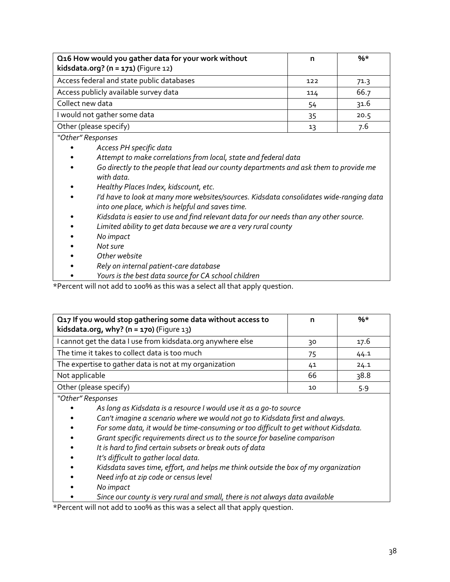| Q16 How would you gather data for your work without<br>kidsdata.org? $(n = 171)$ (Figure 12) | n   | $%$ * |
|----------------------------------------------------------------------------------------------|-----|-------|
| Access federal and state public databases                                                    | 122 | 71.3  |
| Access publicly available survey data                                                        | 114 | 66.7  |
| Collect new data                                                                             | 54  | 31.6  |
| I would not gather some data                                                                 | 35  | 20.5  |
| Other (please specify)                                                                       | 13  | 7.6   |

*"Other" Responses* 

- *Access PH specific data*
- *Attempt to make correlations from local, state and federal data*
- *Go directly to the people that lead our county departments and ask them to provide me with data.*
- *Healthy Places Index, kidscount, etc.*
- *I'd have to look at many more websites/sources. Kidsdata consolidates wide-ranging data into one place, which is helpful and saves time.*
- *Kidsdata is easier to use and find relevant data for our needs than any other source.*
- *Limited ability to get data because we are a very rural county*
- *No impact*
- *Not sure*
- *Other website*
- *Rely on internal patient-care database*
	- *Yours is the best data source for CA school children*

\*Percent will not add to 100% as this was a select all that apply question.

| Q17 If you would stop gathering some data without access to<br>kidsdata.org, why? ( $n = 170$ ) (Figure 13) |    | $%$ * |
|-------------------------------------------------------------------------------------------------------------|----|-------|
| I cannot get the data I use from kidsdata.org anywhere else                                                 | 30 | 17.6  |
| The time it takes to collect data is too much                                                               | 75 | 44.1  |
| The expertise to gather data is not at my organization                                                      | 41 | 24.1  |
| Not applicable                                                                                              | 66 | 38.8  |
| Other (please specify)                                                                                      | 10 | 5.9   |

*"Other" Responses*

- *As long as Kidsdata is a resource I would use it as a go-to source*
- *Can't imagine a scenario where we would not go to Kidsdata first and always.*
- *For some data, it would be time-consuming or too difficult to get without Kidsdata.*
- *Grant specific requirements direct us to the source for baseline comparison*
- *It is hard to find certain subsets or break outs of data*
- *It's difficult to gather local data.*
- *Kidsdata saves time, effort, and helps me think outside the box of my organization*
- *Need info at zip code or census level*
- *No impact*
	- *Since our county is very rural and small, there is not always data available*

\*Percent will not add to 100% as this was a select all that apply question.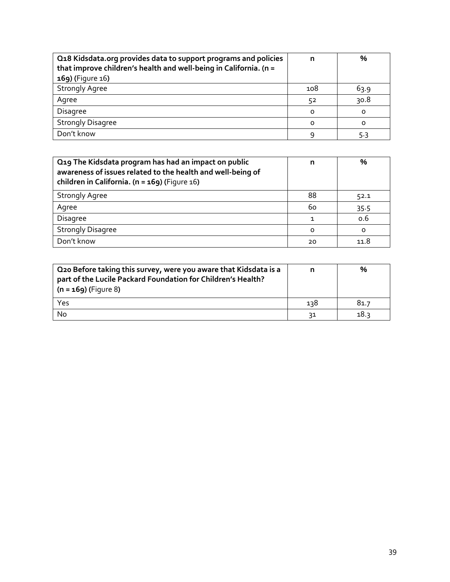| Q18 Kidsdata.org provides data to support programs and policies<br>that improve children's health and well-being in California. (n = | n        | $\frac{0}{0}$ |
|--------------------------------------------------------------------------------------------------------------------------------------|----------|---------------|
| 169) (Figure 16)                                                                                                                     |          |               |
| <b>Strongly Agree</b>                                                                                                                | 108      | 63.9          |
| Agree                                                                                                                                | 52       | 30.8          |
| <b>Disagree</b>                                                                                                                      | $\Omega$ | 0             |
| <b>Strongly Disagree</b>                                                                                                             | $\Omega$ | $\Omega$      |
| Don't know                                                                                                                           |          | 5.3           |

| Q19 The Kidsdata program has had an impact on public<br>awareness of issues related to the health and well-being of<br>children in California. ( $n = 169$ ) (Figure 16) | n        | %       |
|--------------------------------------------------------------------------------------------------------------------------------------------------------------------------|----------|---------|
| <b>Strongly Agree</b>                                                                                                                                                    | 88       | 52.1    |
| Agree                                                                                                                                                                    | 60       | 35.5    |
| Disagree                                                                                                                                                                 |          | 0.6     |
| <b>Strongly Disagree</b>                                                                                                                                                 | $\Omega$ | $\circ$ |
| Don't know                                                                                                                                                               | 20       | 11.8    |

| Q20 Before taking this survey, were you aware that Kidsdata is a<br>part of the Lucile Packard Foundation for Children's Health?<br>$(n = 169)$ (Figure 8) |     | %    |
|------------------------------------------------------------------------------------------------------------------------------------------------------------|-----|------|
| Yes                                                                                                                                                        | 138 | 81.7 |
| No                                                                                                                                                         | 31  | 18.3 |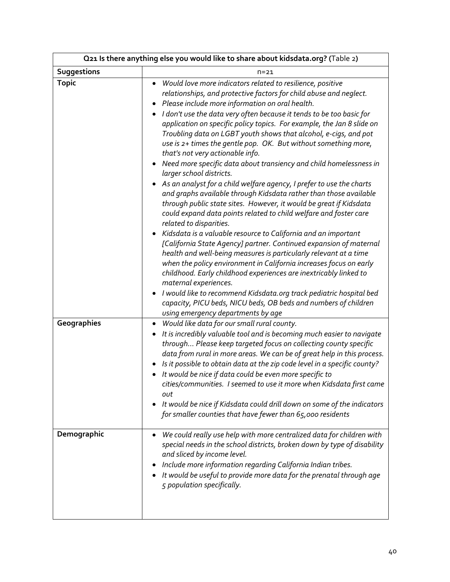| Q21 Is there anything else you would like to share about kidsdata.org? (Table 2) |                                                                                                                                                                                                                                                                                                                                                                                                                                                                                                                                                                                                                                                                                                                                                                                                                                                                                                                                                                                                                                                                                                                                                                                                                                                                                                                                                                                                                                                                                                             |  |  |
|----------------------------------------------------------------------------------|-------------------------------------------------------------------------------------------------------------------------------------------------------------------------------------------------------------------------------------------------------------------------------------------------------------------------------------------------------------------------------------------------------------------------------------------------------------------------------------------------------------------------------------------------------------------------------------------------------------------------------------------------------------------------------------------------------------------------------------------------------------------------------------------------------------------------------------------------------------------------------------------------------------------------------------------------------------------------------------------------------------------------------------------------------------------------------------------------------------------------------------------------------------------------------------------------------------------------------------------------------------------------------------------------------------------------------------------------------------------------------------------------------------------------------------------------------------------------------------------------------------|--|--|
| Suggestions                                                                      | $n = 21$                                                                                                                                                                                                                                                                                                                                                                                                                                                                                                                                                                                                                                                                                                                                                                                                                                                                                                                                                                                                                                                                                                                                                                                                                                                                                                                                                                                                                                                                                                    |  |  |
| <b>Topic</b>                                                                     | Would love more indicators related to resilience, positive<br>relationships, and protective factors for child abuse and neglect.<br>Please include more information on oral health.<br>I don't use the data very often because it tends to be too basic for<br>application on specific policy topics. For example, the Jan 8 slide on<br>Troubling data on LGBT youth shows that alcohol, e-cigs, and pot<br>use is 2+ times the gentle pop. OK. But without something more,<br>that's not very actionable info.<br>Need more specific data about transiency and child homelessness in<br>٠<br>larger school districts.<br>As an analyst for a child welfare agency, I prefer to use the charts<br>and graphs available through Kidsdata rather than those available<br>through public state sites. However, it would be great if Kidsdata<br>could expand data points related to child welfare and foster care<br>related to disparities.<br>Kidsdata is a valuable resource to California and an important<br>[California State Agency] partner. Continued expansion of maternal<br>health and well-being measures is particularly relevant at a time<br>when the policy environment in California increases focus on early<br>childhood. Early childhood experiences are inextricably linked to<br>maternal experiences.<br>I would like to recommend Kidsdata.org track pediatric hospital bed<br>capacity, PICU beds, NICU beds, OB beds and numbers of children<br>using emergency departments by age |  |  |
| Geographies                                                                      | Would like data for our small rural county.<br>$\bullet$<br>It is incredibly valuable tool and is becoming much easier to navigate<br>through Please keep targeted focus on collecting county specific<br>data from rural in more areas. We can be of great help in this process.<br>Is it possible to obtain data at the zip code level in a specific county?<br>It would be nice if data could be even more specific to<br>cities/communities. I seemed to use it more when Kidsdata first came<br>out<br>It would be nice if Kidsdata could drill down on some of the indicators<br>for smaller counties that have fewer than 65,000 residents                                                                                                                                                                                                                                                                                                                                                                                                                                                                                                                                                                                                                                                                                                                                                                                                                                                           |  |  |
| Demographic                                                                      | We could really use help with more centralized data for children with<br>special needs in the school districts, broken down by type of disability<br>and sliced by income level.<br>Include more information regarding California Indian tribes.<br>It would be useful to provide more data for the prenatal through age<br>5 population specifically.                                                                                                                                                                                                                                                                                                                                                                                                                                                                                                                                                                                                                                                                                                                                                                                                                                                                                                                                                                                                                                                                                                                                                      |  |  |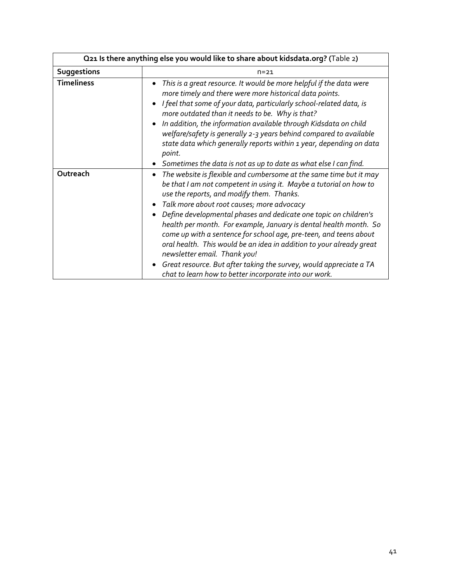| Q21 Is there anything else you would like to share about kidsdata.org? (Table 2) |                                                                                                                                                                                                                                                                                                                                                                                                                                                                                                                                                                                                                                                                                                                     |  |
|----------------------------------------------------------------------------------|---------------------------------------------------------------------------------------------------------------------------------------------------------------------------------------------------------------------------------------------------------------------------------------------------------------------------------------------------------------------------------------------------------------------------------------------------------------------------------------------------------------------------------------------------------------------------------------------------------------------------------------------------------------------------------------------------------------------|--|
| <b>Suggestions</b>                                                               | $n = 21$                                                                                                                                                                                                                                                                                                                                                                                                                                                                                                                                                                                                                                                                                                            |  |
| <b>Timeliness</b>                                                                | This is a great resource. It would be more helpful if the data were<br>$\bullet$<br>more timely and there were more historical data points.<br>I feel that some of your data, particularly school-related data, is<br>more outdated than it needs to be. Why is that?<br>In addition, the information available through Kidsdata on child<br>$\bullet$<br>welfare/safety is generally 2-3 years behind compared to available<br>state data which generally reports within 1 year, depending on data<br>point.<br>Sometimes the data is not as up to date as what else I can find.                                                                                                                                   |  |
| Outreach                                                                         | The website is flexible and cumbersome at the same time but it may<br>$\bullet$<br>be that I am not competent in using it. Maybe a tutorial on how to<br>use the reports, and modify them. Thanks.<br>Talk more about root causes; more advocacy<br>Define developmental phases and dedicate one topic on children's<br>$\bullet$<br>health per month. For example, January is dental health month. So<br>come up with a sentence for school age, pre-teen, and teens about<br>oral health. This would be an idea in addition to your already great<br>newsletter email. Thank you!<br>Great resource. But after taking the survey, would appreciate a TA<br>chat to learn how to better incorporate into our work. |  |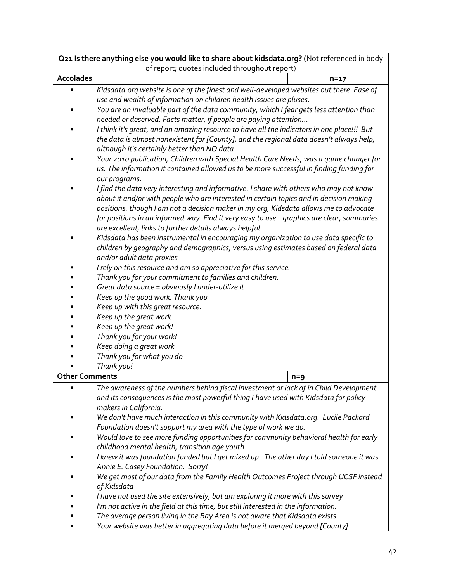| Q21 Is there anything else you would like to share about kidsdata.org? (Not referenced in body |                                                                                                                   |          |
|------------------------------------------------------------------------------------------------|-------------------------------------------------------------------------------------------------------------------|----------|
|                                                                                                | of report; quotes included throughout report)                                                                     |          |
| <b>Accolades</b>                                                                               |                                                                                                                   | $n = 17$ |
|                                                                                                | Kidsdata.org website is one of the finest and well-developed websites out there. Ease of                          |          |
|                                                                                                | use and wealth of information on children health issues are pluses.                                               |          |
|                                                                                                | You are an invaluable part of the data community, which I fear gets less attention than                           |          |
|                                                                                                | needed or deserved. Facts matter, if people are paying attention                                                  |          |
|                                                                                                | I think it's great, and an amazing resource to have all the indicators in one place!!! But                        |          |
|                                                                                                | the data is almost nonexistent for [County], and the regional data doesn't always help,                           |          |
|                                                                                                | although it's certainly better than NO data.                                                                      |          |
|                                                                                                | Your 2010 publication, Children with Special Health Care Needs, was a game changer for                            |          |
|                                                                                                | us. The information it contained allowed us to be more successful in finding funding for                          |          |
|                                                                                                | our programs.                                                                                                     |          |
|                                                                                                | I find the data very interesting and informative. I share with others who may not know                            |          |
|                                                                                                | about it and/or with people who are interested in certain topics and in decision making                           |          |
|                                                                                                | positions. though I am not a decision maker in my org, Kidsdata allows me to advocate                             |          |
|                                                                                                | for positions in an informed way. Find it very easy to usegraphics are clear, summaries                           |          |
|                                                                                                | are excellent, links to further details always helpful.                                                           |          |
|                                                                                                | Kidsdata has been instrumental in encouraging my organization to use data specific to                             |          |
|                                                                                                | children by geography and demographics, versus using estimates based on federal data<br>and/or adult data proxies |          |
|                                                                                                | I rely on this resource and am so appreciative for this service.                                                  |          |
|                                                                                                | Thank you for your commitment to families and children.                                                           |          |
|                                                                                                | Great data source = obviously I under-utilize it                                                                  |          |
|                                                                                                | Keep up the good work. Thank you                                                                                  |          |
|                                                                                                | Keep up with this great resource.                                                                                 |          |
|                                                                                                | Keep up the great work                                                                                            |          |
|                                                                                                | Keep up the great work!                                                                                           |          |
|                                                                                                | Thank you for your work!                                                                                          |          |
|                                                                                                | Keep doing a great work                                                                                           |          |
|                                                                                                | Thank you for what you do                                                                                         |          |
|                                                                                                | Thank you!                                                                                                        |          |
| <b>Other Comments</b>                                                                          |                                                                                                                   | $n = 9$  |
|                                                                                                | The awareness of the numbers behind fiscal investment or lack of in Child Development                             |          |
|                                                                                                | and its consequences is the most powerful thing I have used with Kidsdata for policy                              |          |
|                                                                                                | makers in California.                                                                                             |          |
|                                                                                                | We don't have much interaction in this community with Kidsdata.org. Lucile Packard                                |          |
|                                                                                                | Foundation doesn't support my area with the type of work we do.                                                   |          |
|                                                                                                | Would love to see more funding opportunities for community behavioral health for early                            |          |
|                                                                                                | childhood mental health, transition age youth                                                                     |          |
|                                                                                                | I knew it was foundation funded but I get mixed up. The other day I told someone it was                           |          |
|                                                                                                | Annie E. Casey Foundation. Sorry!                                                                                 |          |
|                                                                                                | We get most of our data from the Family Health Outcomes Project through UCSF instead                              |          |
|                                                                                                | of Kidsdata                                                                                                       |          |
|                                                                                                | I have not used the site extensively, but am exploring it more with this survey                                   |          |
|                                                                                                | I'm not active in the field at this time, but still interested in the information.                                |          |
|                                                                                                | The average person living in the Bay Area is not aware that Kidsdata exists.                                      |          |
|                                                                                                | Your website was better in aggregating data before it merged beyond [County]                                      |          |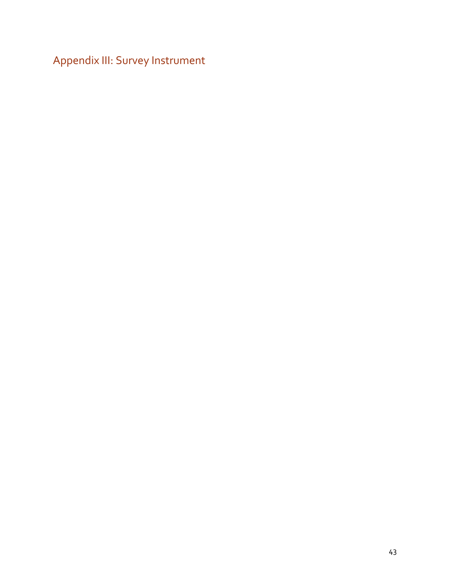<span id="page-46-0"></span>Appendix III: Survey Instrument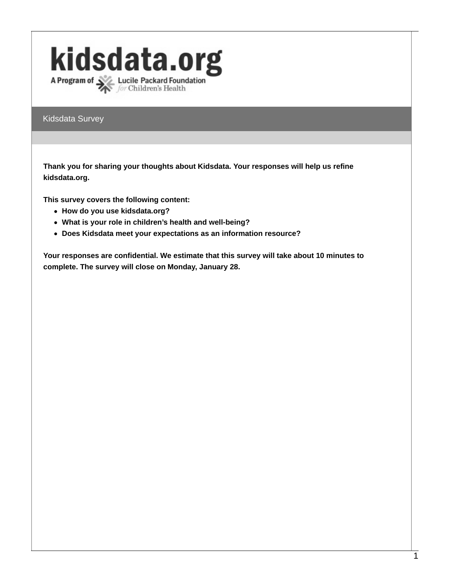# kidsdata.org A Program of **XX** Lucile Packard Foundation

Kidsdata Survey

**Thank you for sharing your thoughts about Kidsdata. Your responses will help us refine kidsdata.org.**

**This survey covers the following content:**

- **How do you use kidsdata.org?**
- **What is your role in children's health and well-being?**
- **Does Kidsdata meet your expectations as an information resource?**

**Your responses are confidential. We estimate that this survey will take about 10 minutes to complete. The survey will close on Monday, January 28.**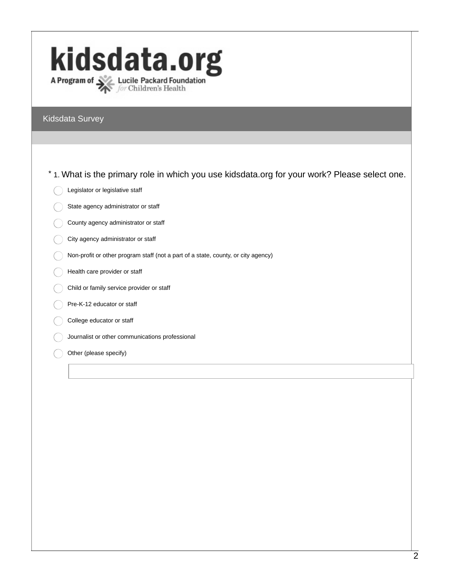# kidsdata.org A Program of  $\sum_{for \text{ Children's Health}}$

#### Kidsdata Survey

\* 1. What is the primary role in which you use kidsdata.org for your work? Please select one.

- Legislator or legislative staff
- State agency administrator or staff
- County agency administrator or staff
- City agency administrator or staff
- Non-profit or other program staff (not a part of a state, county, or city agency)
- Health care provider or staff
- Child or family service provider or staff
- Pre-K-12 educator or staff
- College educator or staff
- Journalist or other communications professional
- Other (please specify)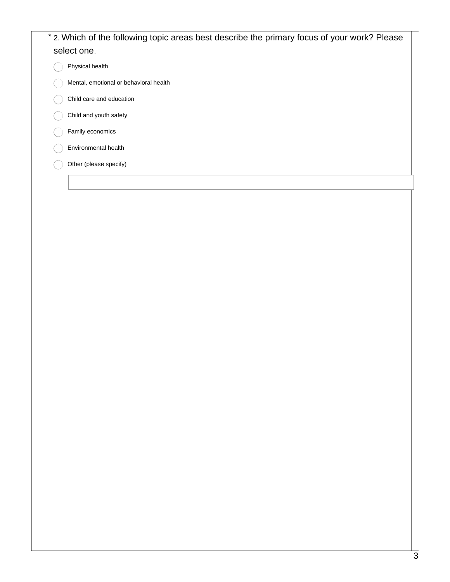# \* 2. Which of the following topic areas best describe the primary focus of your work? Please select one. Physical health Mental, emotional or behavioral health

- Child care and education
- Child and youth safety
- Family economics
- Environmental health
- Other (please specify)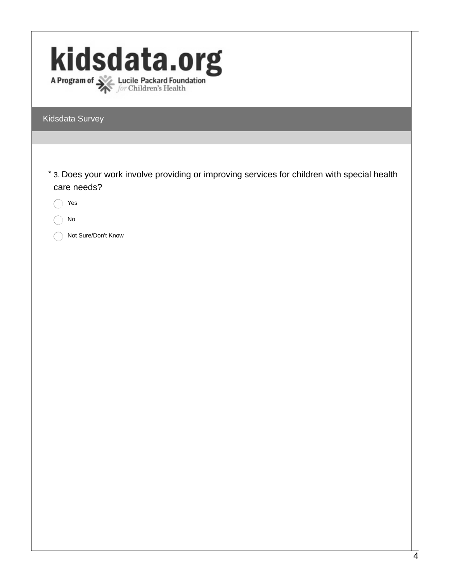| kidsdata.org<br>A Program of <b>Source Lucile Packard Foundation</b><br>for Children's Health                                                   |
|-------------------------------------------------------------------------------------------------------------------------------------------------|
| Kidsdata Survey                                                                                                                                 |
|                                                                                                                                                 |
| * 3. Does your work involve providing or improving services for children with special health<br>care needs?<br>Yes<br>No<br>Not Sure/Don't Know |
|                                                                                                                                                 |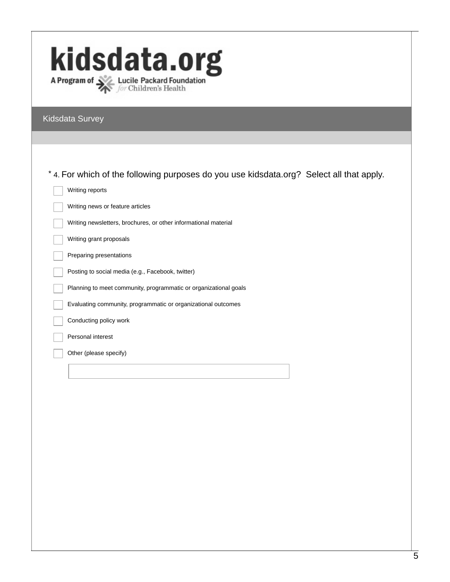| kidsdata.org<br>A Program of Section Lucile Packard Foundation                          |
|-----------------------------------------------------------------------------------------|
| Kidsdata Survey                                                                         |
|                                                                                         |
|                                                                                         |
| *4. For which of the following purposes do you use kidsdata.org? Select all that apply. |
| Writing reports                                                                         |
| Writing news or feature articles                                                        |
| Writing newsletters, brochures, or other informational material                         |
| Writing grant proposals                                                                 |
| Preparing presentations                                                                 |
| Posting to social media (e.g., Facebook, twitter)                                       |
| Planning to meet community, programmatic or organizational goals                        |
| Evaluating community, programmatic or organizational outcomes                           |
| Conducting policy work                                                                  |
| Personal interest                                                                       |
| Other (please specify)                                                                  |
|                                                                                         |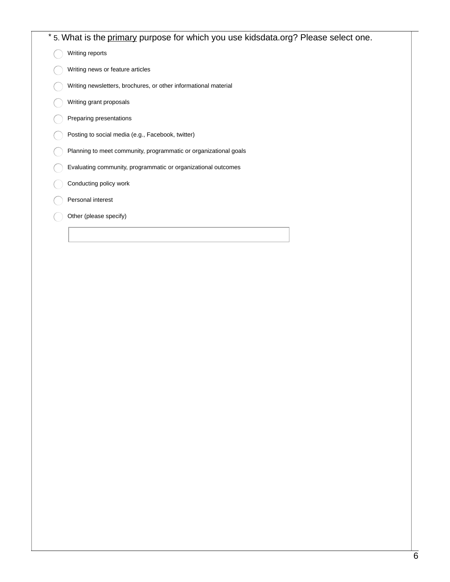|  | * 5. What is the primary purpose for which you use kidsdata.org? Please select one. |
|--|-------------------------------------------------------------------------------------|
|  | Writing reports                                                                     |
|  | Writing news or feature articles                                                    |
|  | Writing newsletters, brochures, or other informational material                     |
|  | Writing grant proposals                                                             |
|  | Preparing presentations                                                             |
|  | Posting to social media (e.g., Facebook, twitter)                                   |
|  | Planning to meet community, programmatic or organizational goals                    |
|  | Evaluating community, programmatic or organizational outcomes                       |
|  | Conducting policy work                                                              |
|  | Personal interest                                                                   |
|  | Other (please specify)                                                              |
|  |                                                                                     |
|  |                                                                                     |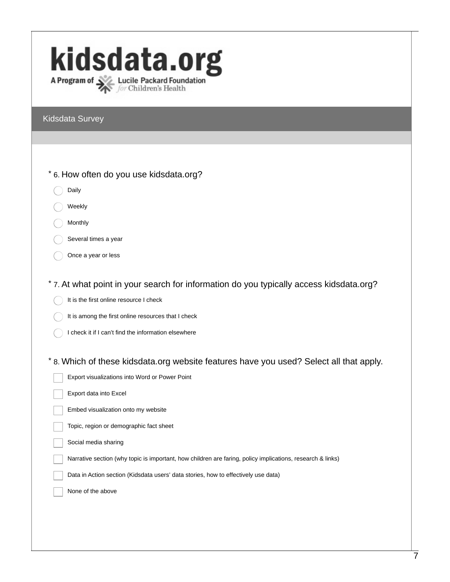# kidsdata.org A Program of Section Lucile Packard Foundation

#### Kidsdata Survey

| Kiusuala Survey                                                                                            |
|------------------------------------------------------------------------------------------------------------|
|                                                                                                            |
|                                                                                                            |
| * 6. How often do you use kidsdata.org?                                                                    |
| Daily                                                                                                      |
| Weekly                                                                                                     |
| Monthly                                                                                                    |
| Several times a year                                                                                       |
| Once a year or less                                                                                        |
|                                                                                                            |
| * 7. At what point in your search for information do you typically access kidsdata.org?                    |
| It is the first online resource I check                                                                    |
| It is among the first online resources that I check                                                        |
| I check it if I can't find the information elsewhere                                                       |
|                                                                                                            |
| * 8. Which of these kidsdata.org website features have you used? Select all that apply.                    |
| Export visualizations into Word or Power Point                                                             |
| Export data into Excel                                                                                     |
| Embed visualization onto my website                                                                        |
| Topic, region or demographic fact sheet                                                                    |
| Social media sharing                                                                                       |
| Narrative section (why topic is important, how children are faring, policy implications, research & links) |
| Data in Action section (Kidsdata users' data stories, how to effectively use data)                         |
| None of the above                                                                                          |
|                                                                                                            |
|                                                                                                            |
|                                                                                                            |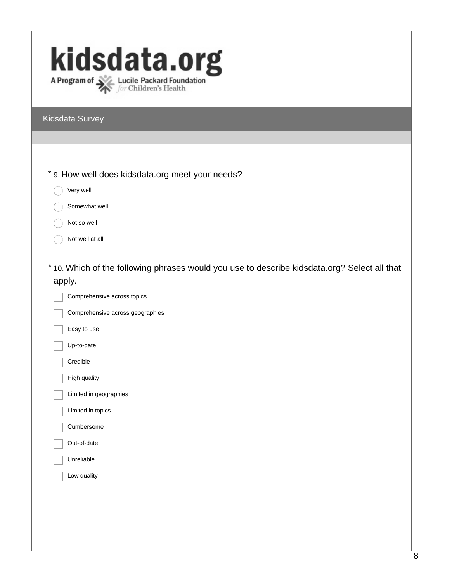# kidsdata.org A Program of **XX** Lucile Packard Foundation

Kidsdata Survey

- \* 9. How well does kidsdata.org meet your needs?
	- Very well
	- Somewhat well
	- Not so well
	- Not well at all
- \* 10. Which of the following phrases would you use to describe kidsdata.org? Select all that apply.

Comprehensive across topics Comprehensive across geographies Easy to use Up-to-date Credible High quality Limited in geographies Limited in topics Cumbersome Out-of-date Unreliable Low quality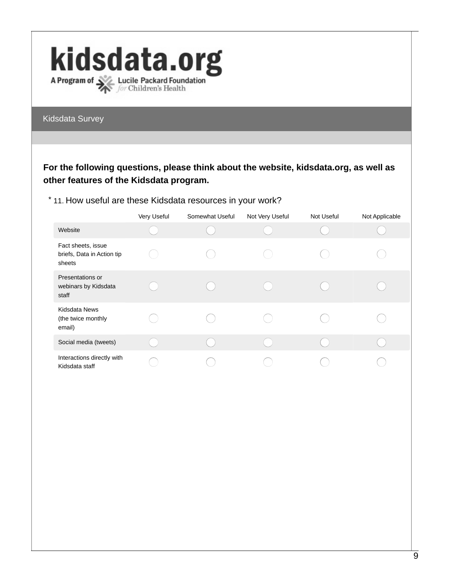

Kidsdata Survey

## **For the following questions, please think about the website, kidsdata.org, as well as other features of the Kidsdata program.**

## \* 11. How useful are these Kidsdata resources in your work?

|                                                            | Very Useful | Somewhat Useful | Not Very Useful | Not Useful | Not Applicable |
|------------------------------------------------------------|-------------|-----------------|-----------------|------------|----------------|
| Website                                                    |             |                 |                 |            |                |
| Fact sheets, issue<br>briefs, Data in Action tip<br>sheets |             |                 |                 |            |                |
| Presentations or<br>webinars by Kidsdata<br>staff          |             |                 |                 |            |                |
| Kidsdata News<br>(the twice monthly<br>email)              |             |                 |                 |            |                |
| Social media (tweets)                                      |             |                 |                 |            |                |
| Interactions directly with<br>Kidsdata staff               |             |                 |                 |            |                |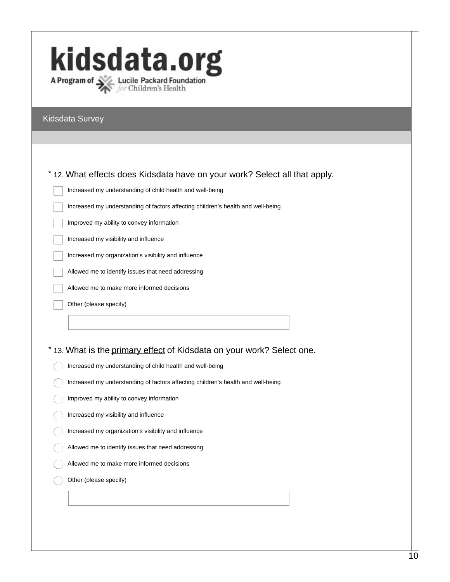# kidsdata.org A Program of **X** Lucile Packard Foundation

#### Kidsdata Survey

#### \* 12. What effects does Kidsdata have on your work? Select all that apply.

Increased my understanding of child health and well-being

Increased my understanding of factors affecting children's health and well-being

Improved my ability to convey information

Increased my visibility and influence

Increased my organization's visibility and influence

Allowed me to identify issues that need addressing

Allowed me to make more informed decisions

Other (please specify)

\* 13. What is the primary effect of Kidsdata on your work? Select one.

- Increased my understanding of child health and well-being
- Increased my understanding of factors affecting children's health and well-being
- Improved my ability to convey information
- Increased my visibility and influence
- Increased my organization's visibility and influence
- Allowed me to identify issues that need addressing
- Allowed me to make more informed decisions
- Other (please specify)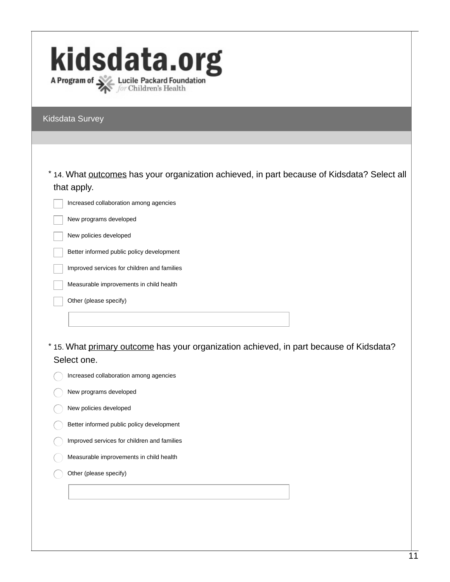| kidsdata.org                                                                   |
|--------------------------------------------------------------------------------|
| A Program of <b>Algebra Lucile Packard Foundation</b><br>for Children's Health |

Kidsdata Survey

| * 14. What <u>outcomes</u> has your organization achieved, in part because of Kidsdata? Select all |  |
|----------------------------------------------------------------------------------------------------|--|
| that apply.                                                                                        |  |

Increased collaboration among agencies

New programs developed

New policies developed

Better informed public policy development

Improved services for children and families

Measurable improvements in child health

Other (please specify)

\* 15. What primary outcome has your organization achieved, in part because of Kidsdata? Select one.

| $\mu$ Increased collaboration among agencies |  |
|----------------------------------------------|--|
|                                              |  |

New programs developed

- New policies developed
- Better informed public policy development
- Improved services for children and families
- Measurable improvements in child health
- Other (please specify)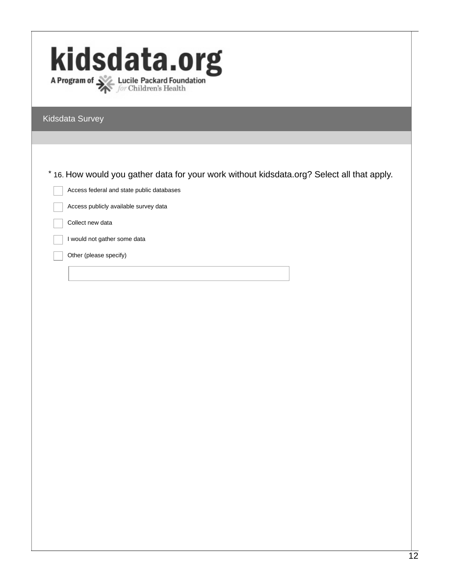| kidsdata.org                                                                               |
|--------------------------------------------------------------------------------------------|
| A Program of <b>Department Contains A Program of Section</b> Children's Health             |
| Kidsdata Survey                                                                            |
|                                                                                            |
|                                                                                            |
| * 16. How would you gather data for your work without kidsdata.org? Select all that apply. |
| Access federal and state public databases                                                  |
| Access publicly available survey data                                                      |
| Collect new data                                                                           |
| I would not gather some data                                                               |
| Other (please specify)                                                                     |
|                                                                                            |
|                                                                                            |
|                                                                                            |
|                                                                                            |
|                                                                                            |
|                                                                                            |
|                                                                                            |
|                                                                                            |
|                                                                                            |
|                                                                                            |
|                                                                                            |
|                                                                                            |
|                                                                                            |
|                                                                                            |
|                                                                                            |
|                                                                                            |
|                                                                                            |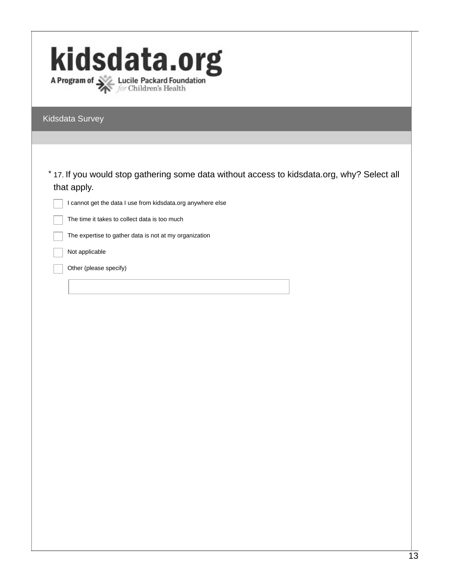| kidsdata.org                                                                                |
|---------------------------------------------------------------------------------------------|
|                                                                                             |
|                                                                                             |
|                                                                                             |
| Kidsdata Survey                                                                             |
|                                                                                             |
|                                                                                             |
| * 17. If you would stop gathering some data without access to kidsdata.org, why? Select all |
| that apply.                                                                                 |
| I cannot get the data I use from kidsdata.org anywhere else                                 |
| The time it takes to collect data is too much                                               |
| The expertise to gather data is not at my organization                                      |
| Not applicable                                                                              |
| Other (please specify)                                                                      |
|                                                                                             |
|                                                                                             |
|                                                                                             |
|                                                                                             |
|                                                                                             |
|                                                                                             |
|                                                                                             |
|                                                                                             |
|                                                                                             |
|                                                                                             |
|                                                                                             |
|                                                                                             |
|                                                                                             |
|                                                                                             |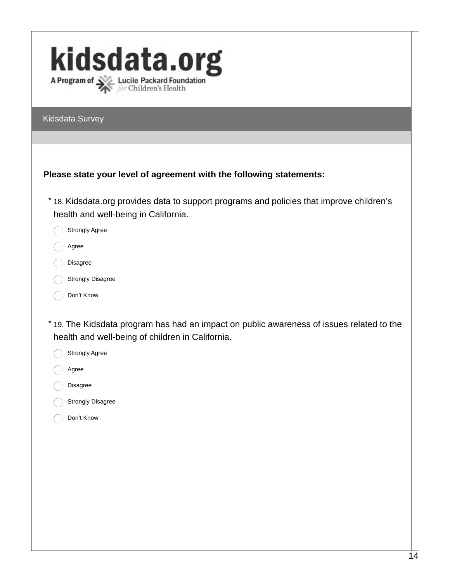| kidsdata.org<br>A Program of <b>Department Contains A Program of Section</b> Children's Health                                                |
|-----------------------------------------------------------------------------------------------------------------------------------------------|
| Kidsdata Survey                                                                                                                               |
|                                                                                                                                               |
| Please state your level of agreement with the following statements:                                                                           |
| * 18. Kidsdata.org provides data to support programs and policies that improve children's<br>health and well-being in California.             |
| Strongly Agree                                                                                                                                |
| Agree                                                                                                                                         |
| <b>Disagree</b>                                                                                                                               |
| <b>Strongly Disagree</b>                                                                                                                      |
| Don't Know                                                                                                                                    |
| * 19. The Kidsdata program has had an impact on public awareness of issues related to the<br>health and well-being of children in California. |
| Strongly Agree                                                                                                                                |
| Agree                                                                                                                                         |
| <b>Disagree</b>                                                                                                                               |
| <b>Strongly Disagree</b>                                                                                                                      |

Don't Know  $\bigcap$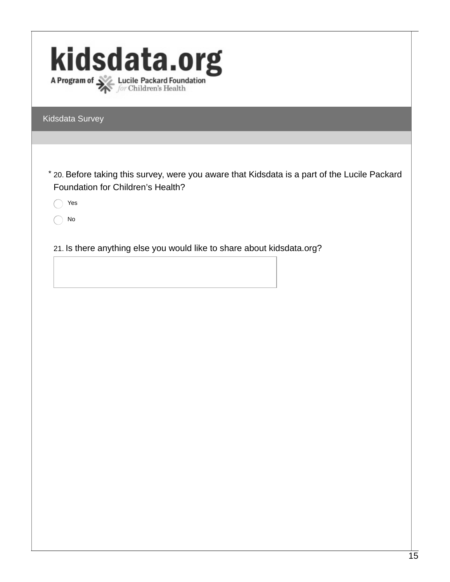| kidsdata.org<br>A Program of Section Lucile Packard Foundation                                                                                  |
|-------------------------------------------------------------------------------------------------------------------------------------------------|
| Kidsdata Survey                                                                                                                                 |
|                                                                                                                                                 |
| * 20. Before taking this survey, were you aware that Kidsdata is a part of the Lucile Packard<br>Foundation for Children's Health?<br>Yes<br>No |
| 21. Is there anything else you would like to share about kidsdata.org?                                                                          |
|                                                                                                                                                 |